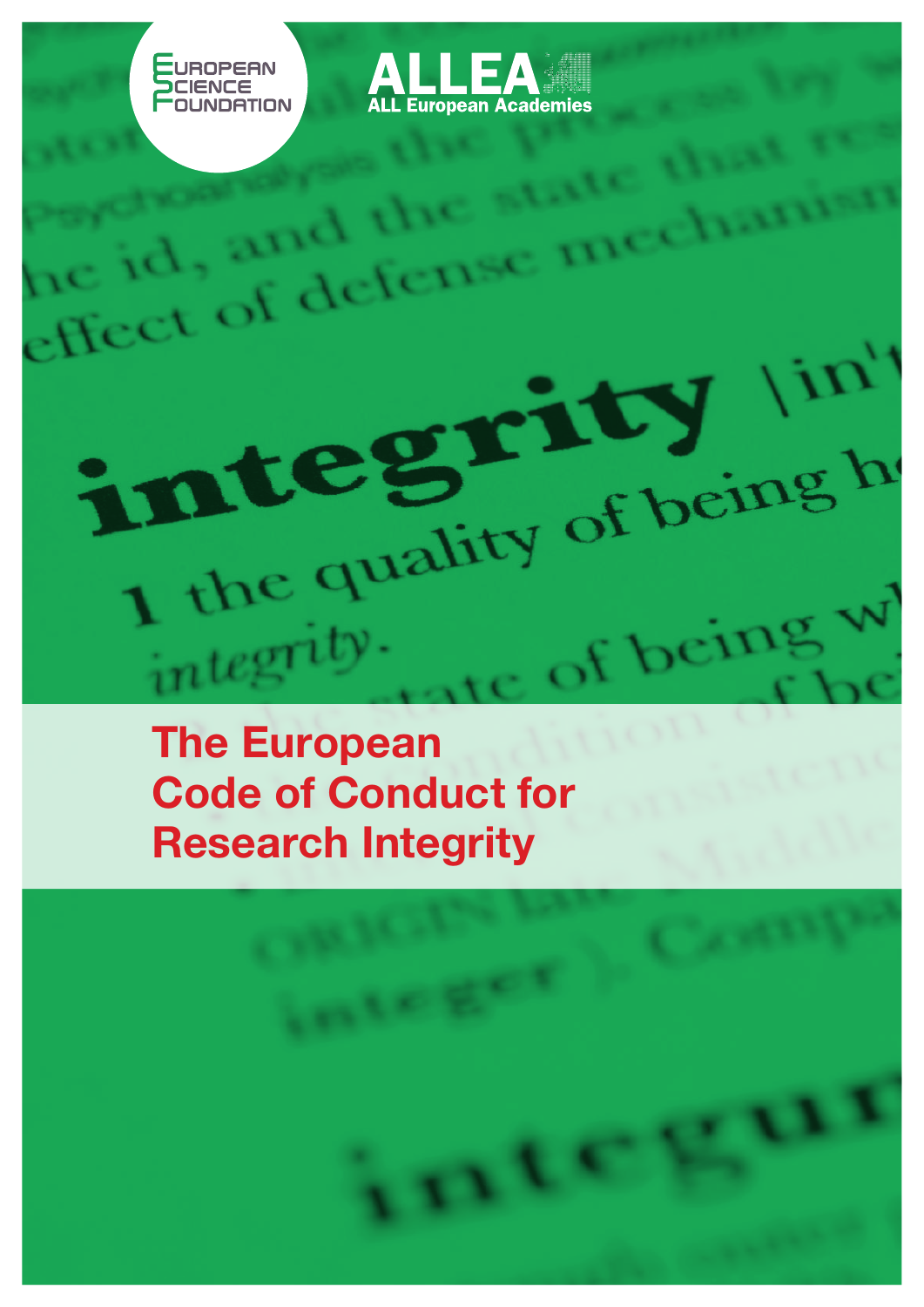

id, and the

he id, and the mecha



Hect of the grity of being her

of being

## The European Code of Conduct for Research Integrity

integrity.

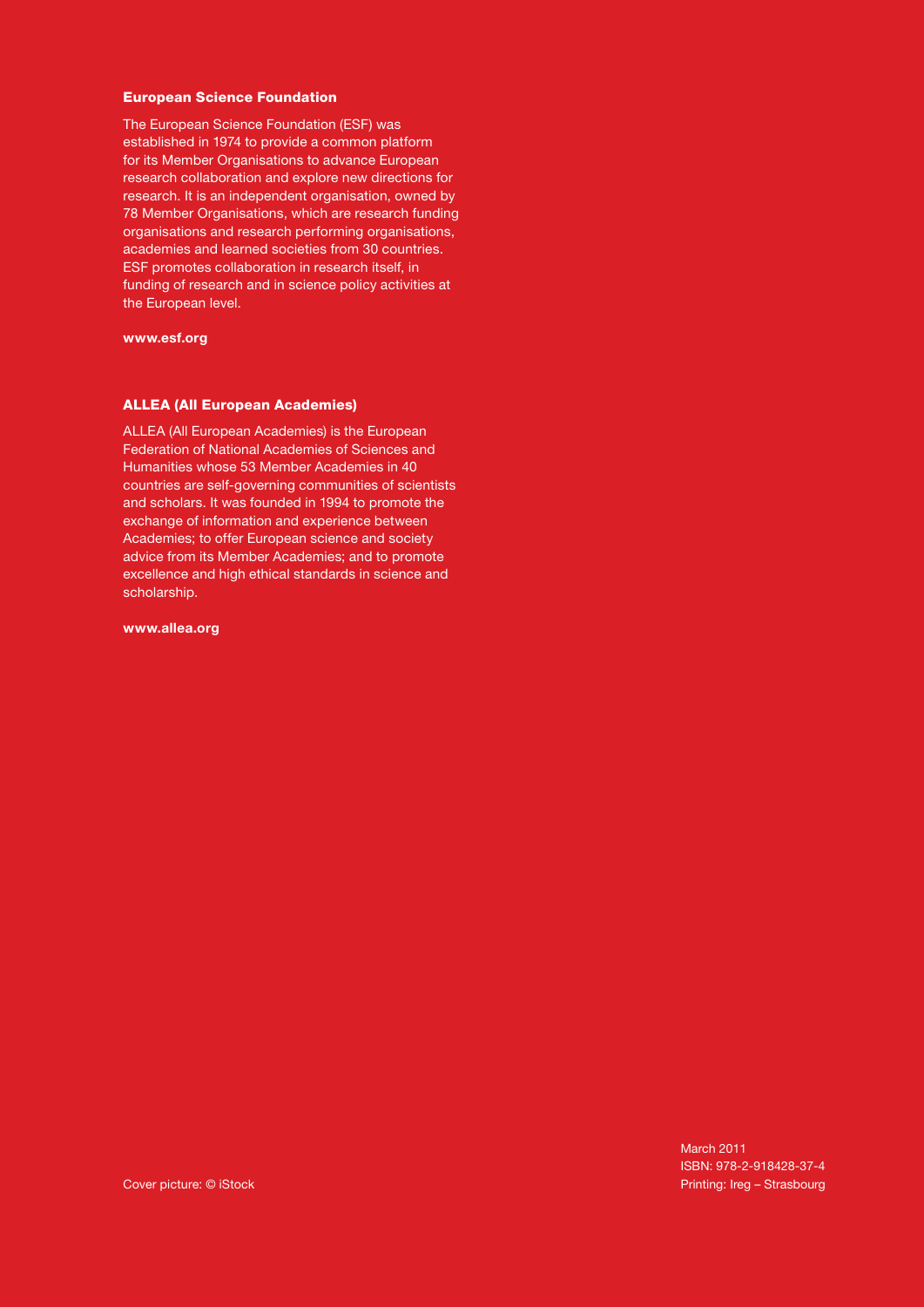#### European Science Foundation

The European Science Foundation (ESF) was established in 1974 to provide a common platform for its Member Organisations to advance European research collaboration and explore new directions for research. It is an independent organisation, owned by 78 Member Organisations, which are research funding organisations and research performing organisations, academies and learned societies from 30 countries. ESF promotes collaboration in research itself, in funding of research and in science policy activities at the European level.

www.esf.org

#### ALLEA (All European Academies)

ALLEA (All European Academies) is the European Federation of National Academies of Sciences and Humanities whose 53 Member Academies in 40 countries are self-governing communities of scientists and scholars. It was founded in 1994 to promote the exchange of information and experience between Academies; to offer European science and society advice from its Member Academies; and to promote excellence and high ethical standards in science and scholarship.

www.allea.org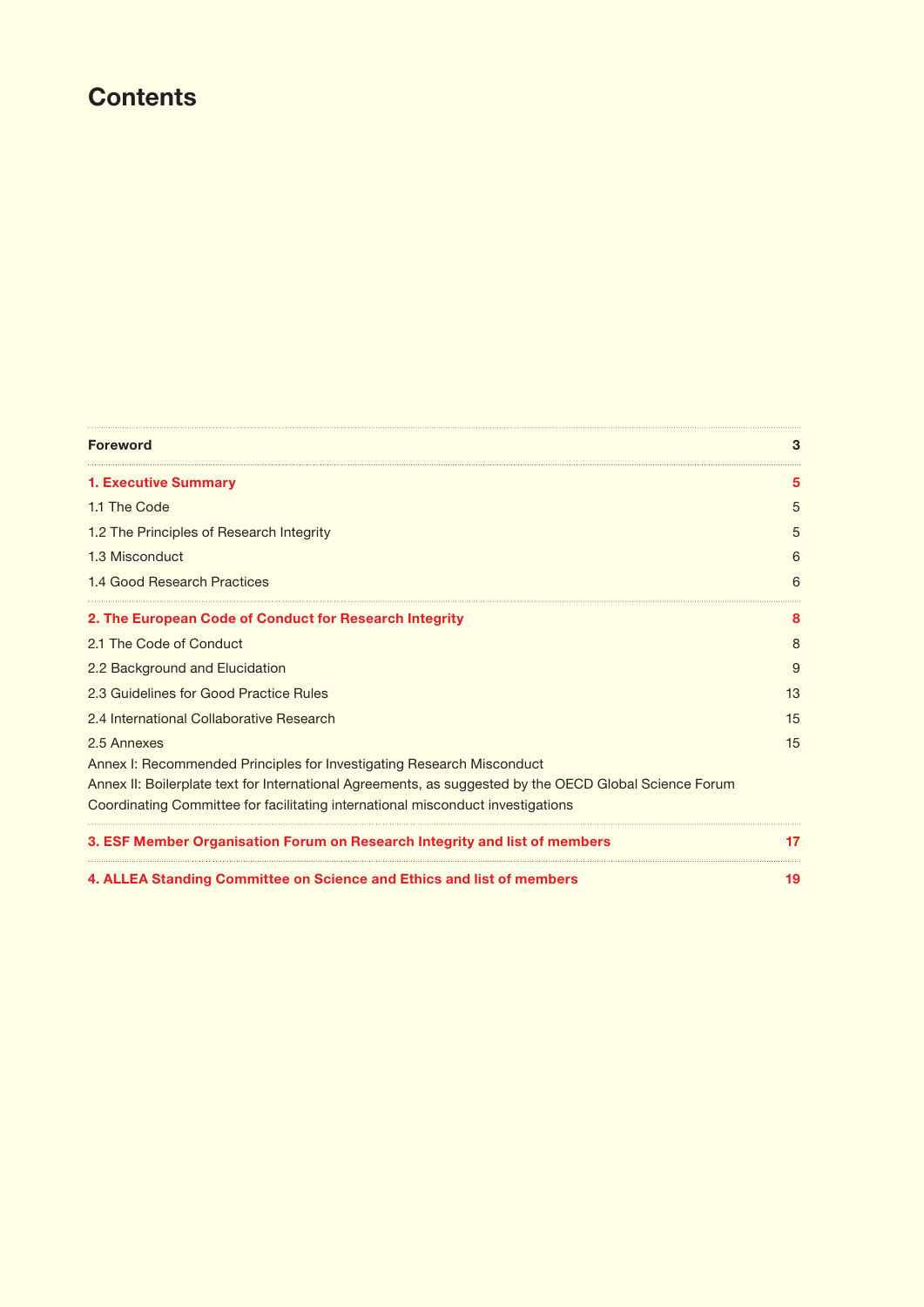## **Contents**

| <b>Foreword</b>                                                                                        | 3  |
|--------------------------------------------------------------------------------------------------------|----|
| <b>1. Executive Summary</b>                                                                            | 5  |
| 1.1 The Code                                                                                           | 5  |
| 1.2 The Principles of Research Integrity                                                               | 5  |
| 1.3 Misconduct                                                                                         | 6  |
| 1.4 Good Research Practices                                                                            | 6  |
| 2. The European Code of Conduct for Research Integrity                                                 | 8  |
| 2.1 The Code of Conduct                                                                                | 8  |
| 2.2 Background and Elucidation                                                                         | 9  |
| 2.3 Guidelines for Good Practice Rules                                                                 | 13 |
| 2.4 International Collaborative Research                                                               | 15 |
| 2.5 Annexes                                                                                            | 15 |
| Annex I: Recommended Principles for Investigating Research Misconduct                                  |    |
| Annex II: Boilerplate text for International Agreements, as suggested by the OECD Global Science Forum |    |
| Coordinating Committee for facilitating international misconduct investigations                        |    |
| 3. ESF Member Organisation Forum on Research Integrity and list of members                             | 17 |
| 4. ALLEA Standing Committee on Science and Ethics and list of members                                  | 19 |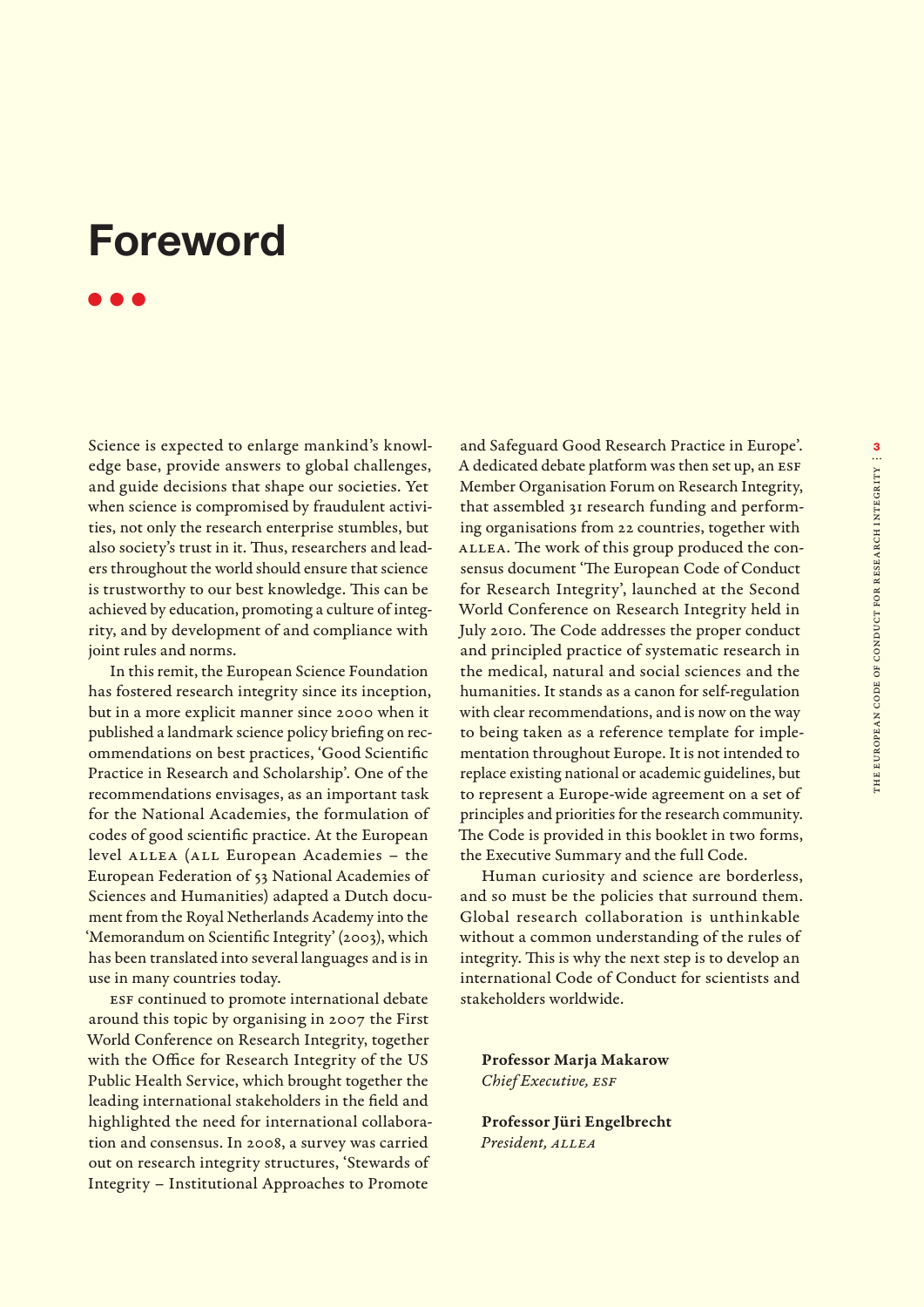## Foreword

 $\bullet$   $\bullet$ 

Science is expected to enlarge mankind's knowl-<br>and Safeguard Good Research Practice in Europe'. edge base, provide answers to global challenges, and guide decisions that shape our societies. Yet when science is compromised by fraudulent activities, not only the research enterprise stumbles, but also society's trust in it. Thus, researchers and leaders throughout the world should ensure that science is trustworthy to our best knowledge. This can be achieved by education, promoting a culture of integrity, and by development of and compliance with joint rules and norms.

In this remit, the European Science Foundation has fostered research integrity since its inception, but in a more explicit manner since 2000 when it published a landmark science policy briefing on recommendations on best practices, 'Good Scientific Practice in Research and Scholarship'. One of the recommendations envisages, as an important task for the National Academies, the formulation of codes of good scientific practice. At the European level ALLEA (ALL European Academies – the European Federation of 53 National Academies of Sciences and Humanities) adapted a Dutch document from the Royal Netherlands Academy into the 'Memorandum on Scientific Integrity' (2003), which has been translated into several languages and is in use in many countries today.

ESF continued to promote international debate around this topic by organising in 2007 the First World Conference on Research Integrity, together with the Office for Research Integrity of the US Public Health Service, which brought together the leading international stakeholders in the field and highlighted the need for international collaboration and consensus. In 2008, a survey was carried out on research integrity structures, 'Stewards of Integrity – Institutional Approaches to Promote

and Safeguard Good Research Practice in Europe'. A dedicated debate platform was then set up, an ESF Member Organisation Forum on Research Integrity, that assembled 31 research funding and performing organisations from 22 countries, together with ALLEA. The work of this group produced the consensus document 'The European Code of Conduct for Research Integrity', launched at the Second World Conference on Research Integrity held in July 2010. The Code addresses the proper conduct and principled practice of systematic research in the medical, natural and social sciences and the humanities. It stands as a canon for self-regulation with clear recommendations, and is now on the way to being taken as a reference template for implementation throughout Europe. It is not intended to replace existing national or academic guidelines, but to represent a Europe-wide agreement on a set of principles and priorities for the research community. The Code is provided in this booklet in two forms, the Executive Summary and the full Code.

Human curiosity and science are borderless, and so must be the policies that surround them. Global research collaboration is unthinkable without a common understanding of the rules of integrity. This is why the next step is to develop an international Code of Conduct for scientists and stakeholders worldwide.

Professor Marja Makarow *Chief Executive, ESF*

Professor Jüri Engelbrecht *President, ALLEA*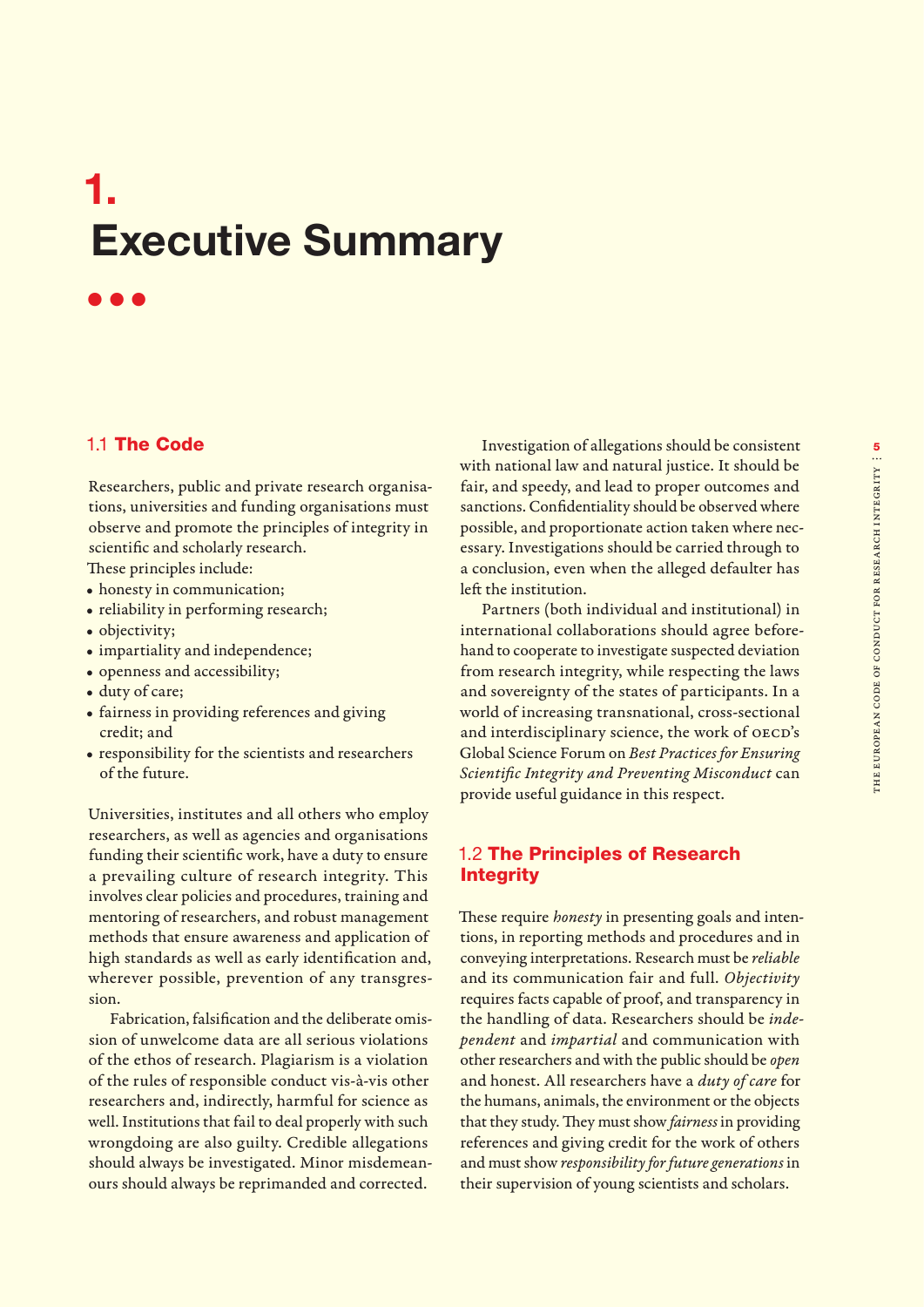## 1. Executive Summary  $\bullet$   $\bullet$

### 1.1 The Code

Researchers, public and private research organisations, universities and funding organisations must observe and promote the principles of integrity in scientific and scholarly research.

- These principles include:
- honesty in communication;
- reliability in performing research;
- objectivity;
- impartiality and independence;
- openness and accessibility;
- duty of care;
- fairness in providing references and giving credit; and
- responsibility for the scientists and researchers of the future.

Universities, institutes and all others who employ researchers, as well as agencies and organisations funding their scientific work, have a duty to ensure a prevailing culture of research integrity. This involves clear policies and procedures, training and mentoring of researchers, and robust management methods that ensure awareness and application of high standards as well as early identification and, wherever possible, prevention of any transgression.

Fabrication, falsification and the deliberate omission of unwelcome data are all serious violations of the ethos of research. Plagiarism is a violation of the rules of responsible conduct vis-à-vis other researchers and, indirectly, harmful for science as well. Institutions that fail to deal properly with such wrongdoing are also guilty. Credible allegations should always be investigated. Minor misdemeanours should always be reprimanded and corrected.

Investigation of allegations should be consistent with national law and natural justice. It should be fair, and speedy, and lead to proper outcomes and sanctions. Confidentiality should be observed where possible, and proportionate action taken where necessary. Investigations should be carried through to a conclusion, even when the alleged defaulter has left the institution.

Partners (both individual and institutional) in international collaborations should agree beforehand to cooperate to investigate suspected deviation from research integrity, while respecting the laws and sovereignty of the states of participants. In a world of increasing transnational, cross-sectional and interdisciplinary science, the work of OECD's Global Science Forum on *Best Practices for Ensuring Scientific Integrity and Preventing Misconduct* can provide useful guidance in this respect.

#### 1.2 The Principles of Research **Integrity**

These require *honesty* in presenting goals and intentions, in reporting methods and procedures and in conveying interpretations. Research must be *reliable* and its communication fair and full. *Objectivity* requires facts capable of proof, and transparency in the handling of data. Researchers should be *independent* and *impartial* and communication with other researchers and with the public should be *open* and honest. All researchers have a *duty of care* for the humans, animals, the environment or the objects that they study. They must show *fairness* in providing references and giving credit for the work of others and must show *responsibility for future generations* in their supervision of young scientists and scholars.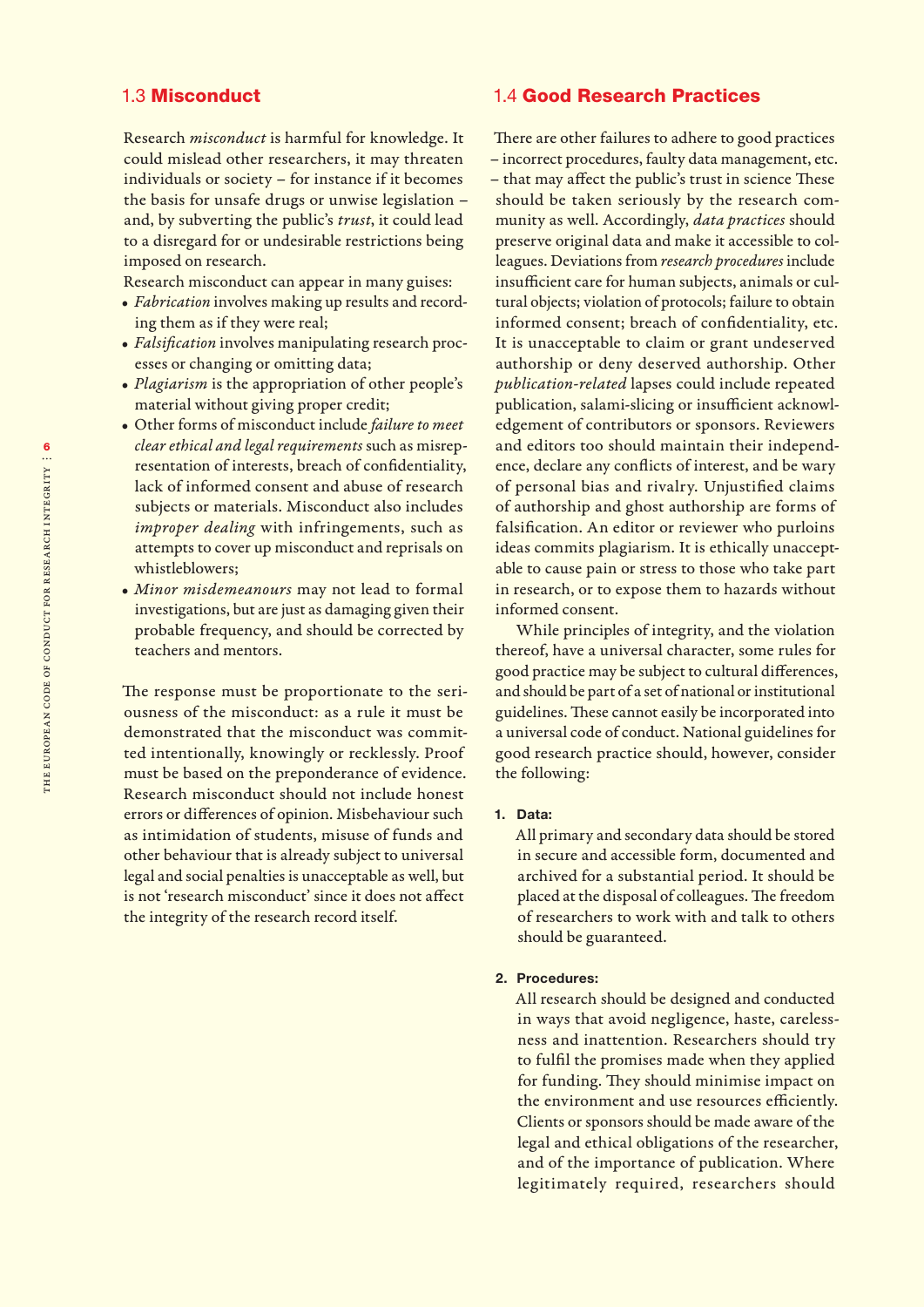### 1.3 Misconduct

Research *misconduct* is harmful for knowledge. It could mislead other researchers, it may threaten individuals or society – for instance if it becomes the basis for unsafe drugs or unwise legislation – and, by subverting the public's *trust*, it could lead to a disregard for or undesirable restrictions being imposed on research.

Research misconduct can appear in many guises:

- *• Fabrication* involves making up results and recording them as if they were real;
- *• Falsification* involves manipulating research processes or changing or omitting data;
- *• Plagiarism* is the appropriation of other people's material without giving proper credit;
- Other forms of misconduct include *failure to meet clear ethical and legal requirements* such as misrepresentation of interests, breach of confidentiality, lack of informed consent and abuse of research subjects or materials. Misconduct also includes *improper dealing* with infringements, such as attempts to cover up misconduct and reprisals on whistleblowers;
- *• Minor misdemeanours* may not lead to formal investigations, but are just as damaging given their probable frequency, and should be corrected by teachers and mentors.

The response must be proportionate to the seriousness of the misconduct: as a rule it must be demonstrated that the misconduct was committed intentionally, knowingly or recklessly. Proof must be based on the preponderance of evidence. Research misconduct should not include honest errors or differences of opinion. Misbehaviour such as intimidation of students, misuse of funds and other behaviour that is already subject to universal legal and social penalties is unacceptable as well, but is not 'research misconduct' since it does not affect the integrity of the research record itself.

#### 1.4 Good Research Practices

There are other failures to adhere to good practices – incorrect procedures, faulty data management, etc. – that may affect the public's trust in science These should be taken seriously by the research community as well. Accordingly, *data practices* should preserve original data and make it accessible to colleagues. Deviations from *research procedures* include insufficient care for human subjects, animals or cultural objects; violation of protocols; failure to obtain informed consent; breach of confidentiality, etc. It is unacceptable to claim or grant undeserved authorship or deny deserved authorship. Other *publication-related* lapses could include repeated publication, salami-slicing or insufficient acknowledgement of contributors or sponsors. Reviewers and editors too should maintain their independence, declare any conflicts of interest, and be wary of personal bias and rivalry. Unjustified claims of authorship and ghost authorship are forms of falsification. An editor or reviewer who purloins ideas commits plagiarism. It is ethically unacceptable to cause pain or stress to those who take part in research, or to expose them to hazards without informed consent.

While principles of integrity, and the violation thereof, have a universal character, some rules for good practice may be subject to cultural differences, and should be part of a set of national or institutional guidelines. These cannot easily be incorporated into a universal code of conduct. National guidelines for good research practice should, however, consider the following:

#### 1. Data:

All primary and secondary data should be stored in secure and accessible form, documented and archived for a substantial period. It should be placed at the disposal of colleagues. The freedom of researchers to work with and talk to others should be guaranteed.

#### 2. Procedures:

All research should be designed and conducted in ways that avoid negligence, haste, carelessness and inattention. Researchers should try to fulfil the promises made when they applied for funding. They should minimise impact on the environment and use resources efficiently. Clients or sponsors should be made aware of the legal and ethical obligations of the researcher, and of the importance of publication. Where legitimately required, researchers should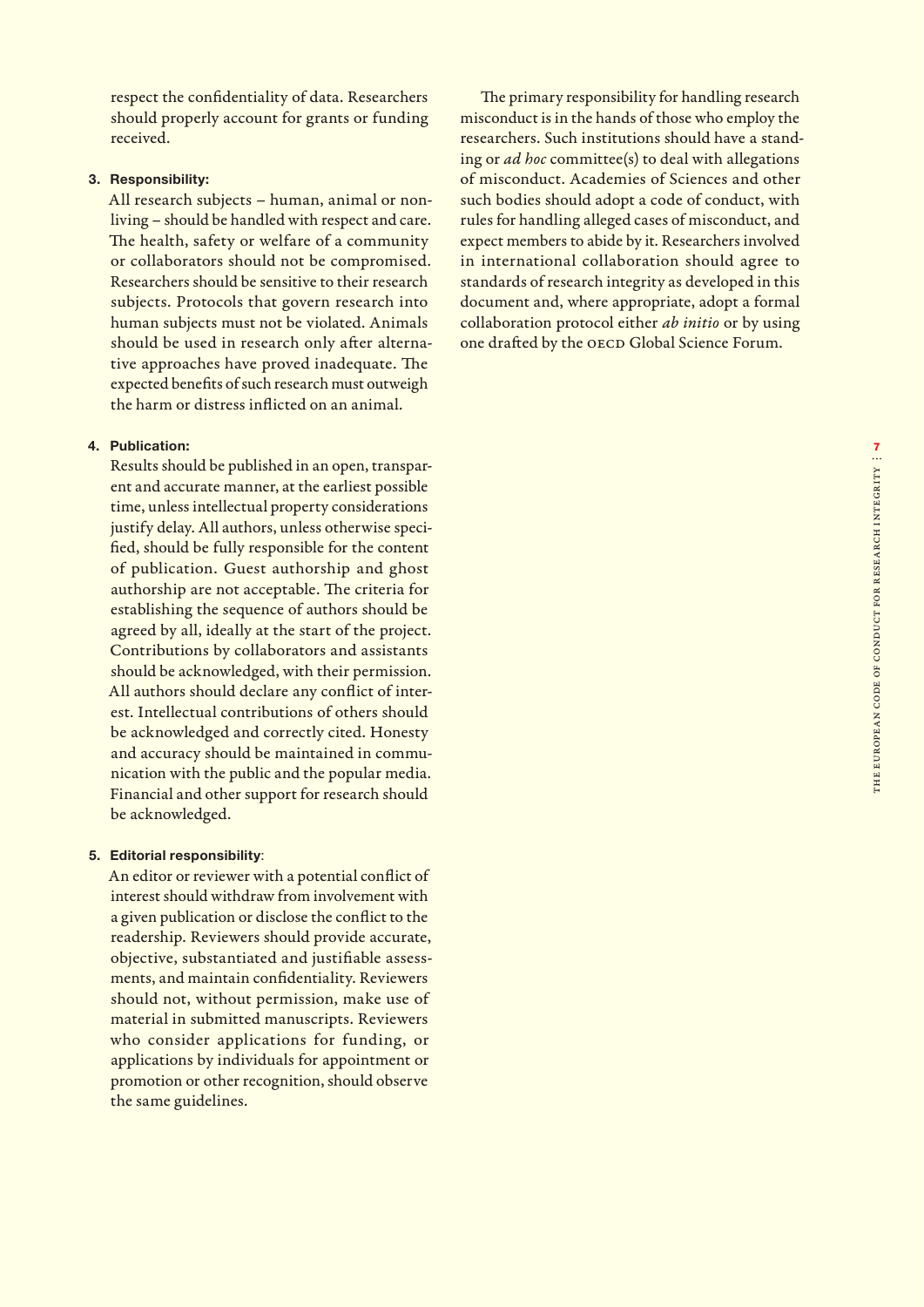respect the confidentiality of data. Researchers should properly account for grants or funding received.

#### 3. Responsibility:

All research subjects – human, animal or nonliving – should be handled with respect and care. The health, safety or welfare of a community or collaborators should not be compromised. Researchers should be sensitive to their research subjects. Protocols that govern research into human subjects must not be violated. Animals should be used in research only after alternative approaches have proved inadequate. The expected benefits of such research must outweigh the harm or distress inflicted on an animal.

#### 4. Publication:

Results should be published in an open, transparent and accurate manner, at the earliest possible time, unless intellectual property considerations justify delay. All authors, unless otherwise specified, should be fully responsible for the content of publication. Guest authorship and ghost authorship are not acceptable. The criteria for establishing the sequence of authors should be agreed by all, ideally at the start of the project. Contributions by collaborators and assistants should be acknowledged, with their permission. All authors should declare any conflict of interest. Intellectual contributions of others should be acknowledged and correctly cited. Honesty and accuracy should be maintained in communication with the public and the popular media. Financial and other support for research should be acknowledged.

#### 5. Editorial responsibility:

An editor or reviewer with a potential conflict of interest should withdraw from involvement with a given publication or disclose the conflict to the readership. Reviewers should provide accurate, objective, substantiated and justifiable assessments, and maintain confidentiality. Reviewers should not, without permission, make use of material in submitted manuscripts. Reviewers who consider applications for funding, or applications by individuals for appointment or promotion or other recognition, should observe the same guidelines.

The primary responsibility for handling research misconduct is in the hands of those who employ the researchers. Such institutions should have a standing or *ad hoc* committee(s) to deal with allegations of misconduct. Academies of Sciences and other such bodies should adopt a code of conduct, with rules for handling alleged cases of misconduct, and expect members to abide by it. Researchers involved in international collaboration should agree to standards of research integrity as developed in this document and, where appropriate, adopt a formal collaboration protocol either *ab initio* or by using one drafted by the OECD Global Science Forum.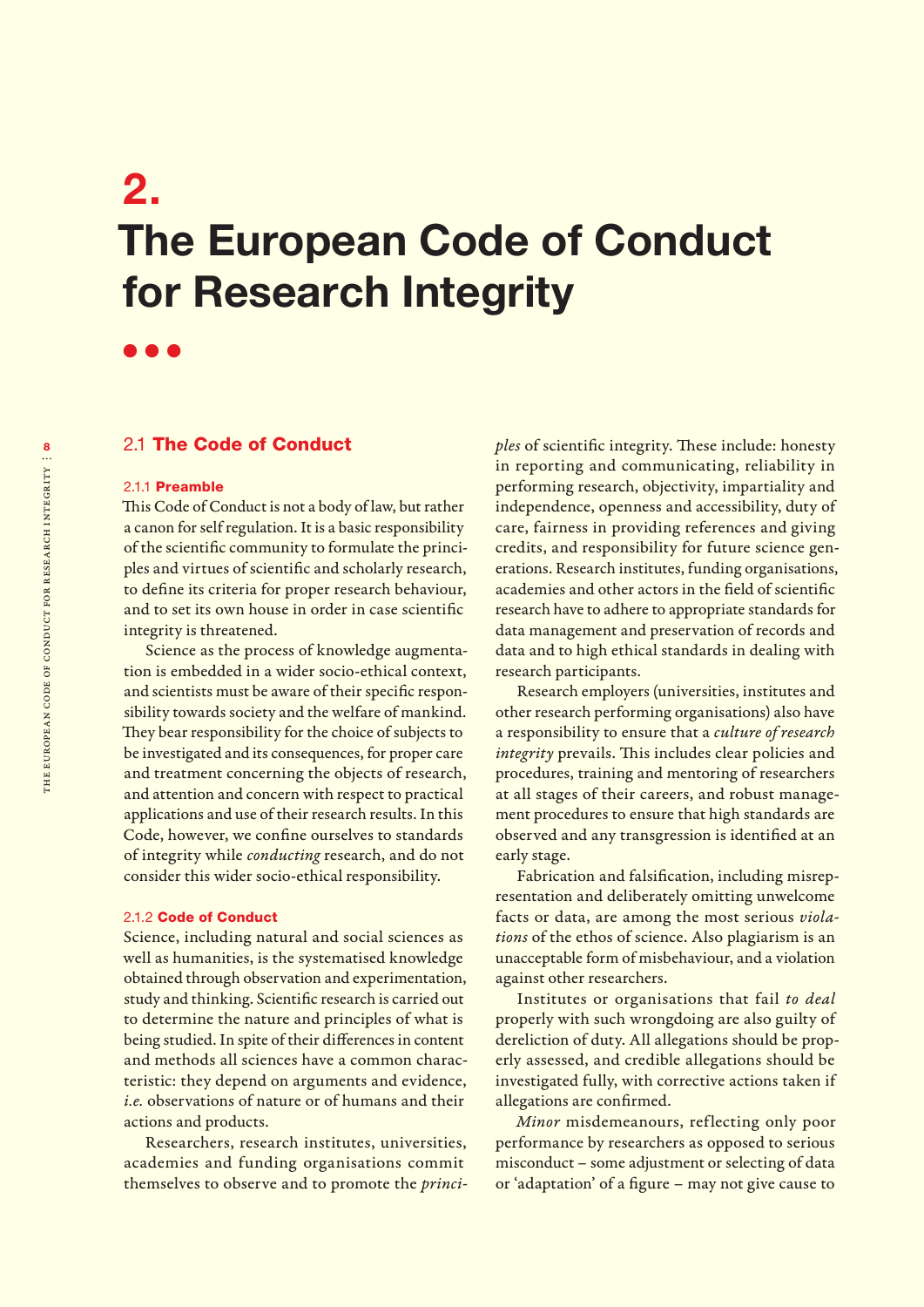## 2. The European Code of Conduct for Research Integrity

 $\bullet\bullet\bullet$ 

#### 2.1.1 Preamble

This Code of Conduct is not a body of law, but rather a canon for self regulation. It is a basic responsibility of the scientific community to formulate the principles and virtues of scientific and scholarly research, to define its criteria for proper research behaviour, and to set its own house in order in case scientific integrity is threatened.

8 2.1 The Code of Conduct<br>
Exerces 2.1.1 Preamble<br>
This Code of Conduct is not a body<br>
a canon for self regulation. It is a ba<br>
of the scientific community to forr<br>
ples and virtues of scientific and so<br>
to define its crit Science as the process of knowledge augmentation is embedded in a wider socio-ethical context, and scientists must be aware of their specific responsibility towards society and the welfare of mankind. They bear responsibility for the choice of subjects to be investigated and its consequences, for proper care and treatment concerning the objects of research, and attention and concern with respect to practical applications and use of their research results. In this Code, however, we confine ourselves to standards of integrity while *conducting* research, and do not consider this wider socio-ethical responsibility.

#### 2.1.2 Code of Conduct

Science, including natural and social sciences as well as humanities, is the systematised knowledge obtained through observation and experimentation, study and thinking. Scientific research is carried out to determine the nature and principles of what is being studied. In spite of their differences in content and methods all sciences have a common characteristic: they depend on arguments and evidence, *i.e.* observations of nature or of humans and their actions and products.

Researchers, research institutes, universities, academies and funding organisations commit themselves to observe and to promote the *princi-* *ples* of scientific integrity. These include: honesty in reporting and communicating, reliability in performing research, objectivity, impartiality and independence, openness and accessibility, duty of care, fairness in providing references and giving credits, and responsibility for future science generations. Research institutes, funding organisations, academies and other actors in the field of scientific research have to adhere to appropriate standards for data management and preservation of records and data and to high ethical standards in dealing with research participants.

Research employers (universities, institutes and other research performing organisations) also have a responsibility to ensure that a *culture of research integrity* prevails. This includes clear policies and procedures, training and mentoring of researchers at all stages of their careers, and robust management procedures to ensure that high standards are observed and any transgression is identified at an early stage.

Fabrication and falsification, including misrepresentation and deliberately omitting unwelcome facts or data, are among the most serious *violations* of the ethos of science. Also plagiarism is an unacceptable form of misbehaviour, and a violation against other researchers.

Institutes or organisations that fail *to deal* properly with such wrongdoing are also guilty of dereliction of duty. All allegations should be properly assessed, and credible allegations should be investigated fully, with corrective actions taken if allegations are confirmed.

*Minor* misdemeanours, reflecting only poor performance by researchers as opposed to serious misconduct – some adjustment or selecting of data or 'adaptation' of a figure – may not give cause to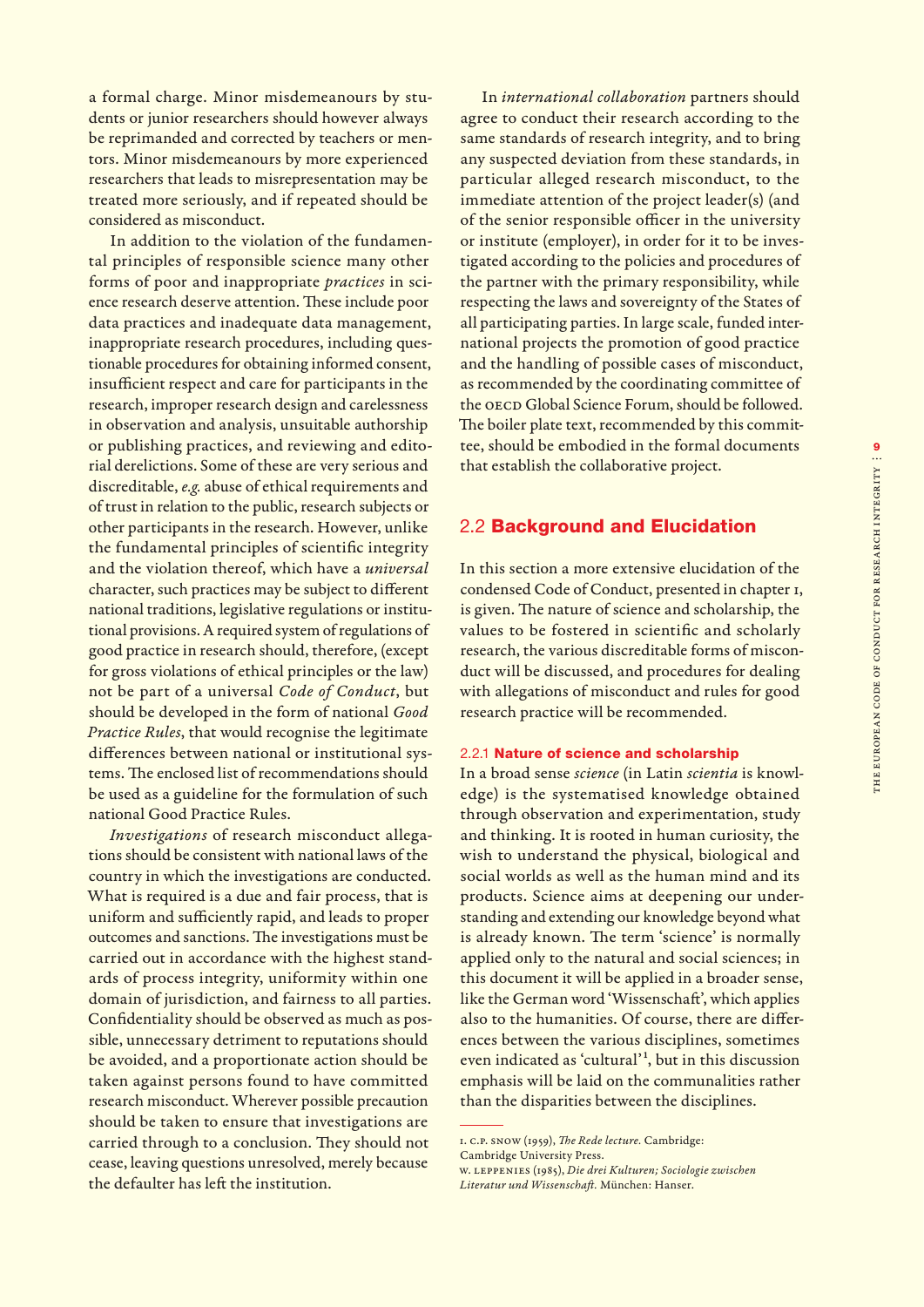a formal charge. Minor misdemeanours by students or junior researchers should however always be reprimanded and corrected by teachers or mentors. Minor misdemeanours by more experienced researchers that leads to misrepresentation may be treated more seriously, and if repeated should be considered as misconduct.

In addition to the violation of the fundamental principles of responsible science many other forms of poor and inappropriate *practices* in science research deserve attention. These include poor data practices and inadequate data management, inappropriate research procedures, including questionable procedures for obtaining informed consent, insufficient respect and care for participants in the research, improper research design and carelessness in observation and analysis, unsuitable authorship or publishing practices, and reviewing and editorial derelictions. Some of these are very serious and discreditable, *e.g.* abuse of ethical requirements and of trust in relation to the public, research subjects or other participants in the research. However, unlike the fundamental principles of scientific integrity and the violation thereof, which have a *universal*  character, such practices may be subject to different national traditions, legislative regulations or institutional provisions. A required system of regulations of good practice in research should, therefore, (except for gross violations of ethical principles or the law) not be part of a universal *Code of Conduct*, but should be developed in the form of national *Good Practice Rules*, that would recognise the legitimate differences between national or institutional systems. The enclosed list of recommendations should be used as a guideline for the formulation of such national Good Practice Rules.

*Investigations* of research misconduct allegations should be consistent with national laws of the country in which the investigations are conducted. What is required is a due and fair process, that is uniform and sufficiently rapid, and leads to proper outcomes and sanctions. The investigations must be carried out in accordance with the highest standards of process integrity, uniformity within one domain of jurisdiction, and fairness to all parties. Confidentiality should be observed as much as possible, unnecessary detriment to reputations should be avoided, and a proportionate action should be taken against persons found to have committed research misconduct. Wherever possible precaution should be taken to ensure that investigations are carried through to a conclusion. They should not cease, leaving questions unresolved, merely because the defaulter has left the institution.

In *international collaboration* partners should agree to conduct their research according to the same standards of research integrity, and to bring any suspected deviation from these standards, in particular alleged research misconduct, to the immediate attention of the project leader(s) (and of the senior responsible officer in the university or institute (employer), in order for it to be investigated according to the policies and procedures of the partner with the primary responsibility, while respecting the laws and sovereignty of the States of all participating parties. In large scale, funded international projects the promotion of good practice and the handling of possible cases of misconduct, as recommended by the coordinating committee of the OECD Global Science Forum, should be followed. The boiler plate text, recommended by this committee, should be embodied in the formal documents that establish the collaborative project.

#### 2.2 Background and Elucidation

In this section a more extensive elucidation of the condensed Code of Conduct, presented in chapter 1, is given. The nature of science and scholarship, the values to be fostered in scientific and scholarly research, the various discreditable forms of misconduct will be discussed, and procedures for dealing with allegations of misconduct and rules for good research practice will be recommended.

#### 2.2.1 Nature of science and scholarship

In a broad sense *science* (in Latin *scientia* is knowledge) is the systematised knowledge obtained through observation and experimentation, study and thinking. It is rooted in human curiosity, the wish to understand the physical, biological and social worlds as well as the human mind and its products. Science aims at deepening our understanding and extending our knowledge beyond what is already known. The term 'science' is normally applied only to the natural and social sciences; in this document it will be applied in a broader sense, like the German word 'Wissenschaft', which applies also to the humanities. Of course, there are differences between the various disciplines, sometimes even indicated as 'cultural'1, but in this discussion emphasis will be laid on the communalities rather than the disparities between the disciplines.

<sup>1.</sup> C.P. Snow (1959), *The Rede lecture.* Cambridge:

Cambridge University Press.

W. Leppenies (1985), *Die drei Kulturen; Sociologie zwischen Literatur und Wissenschaft.* München: Hanser.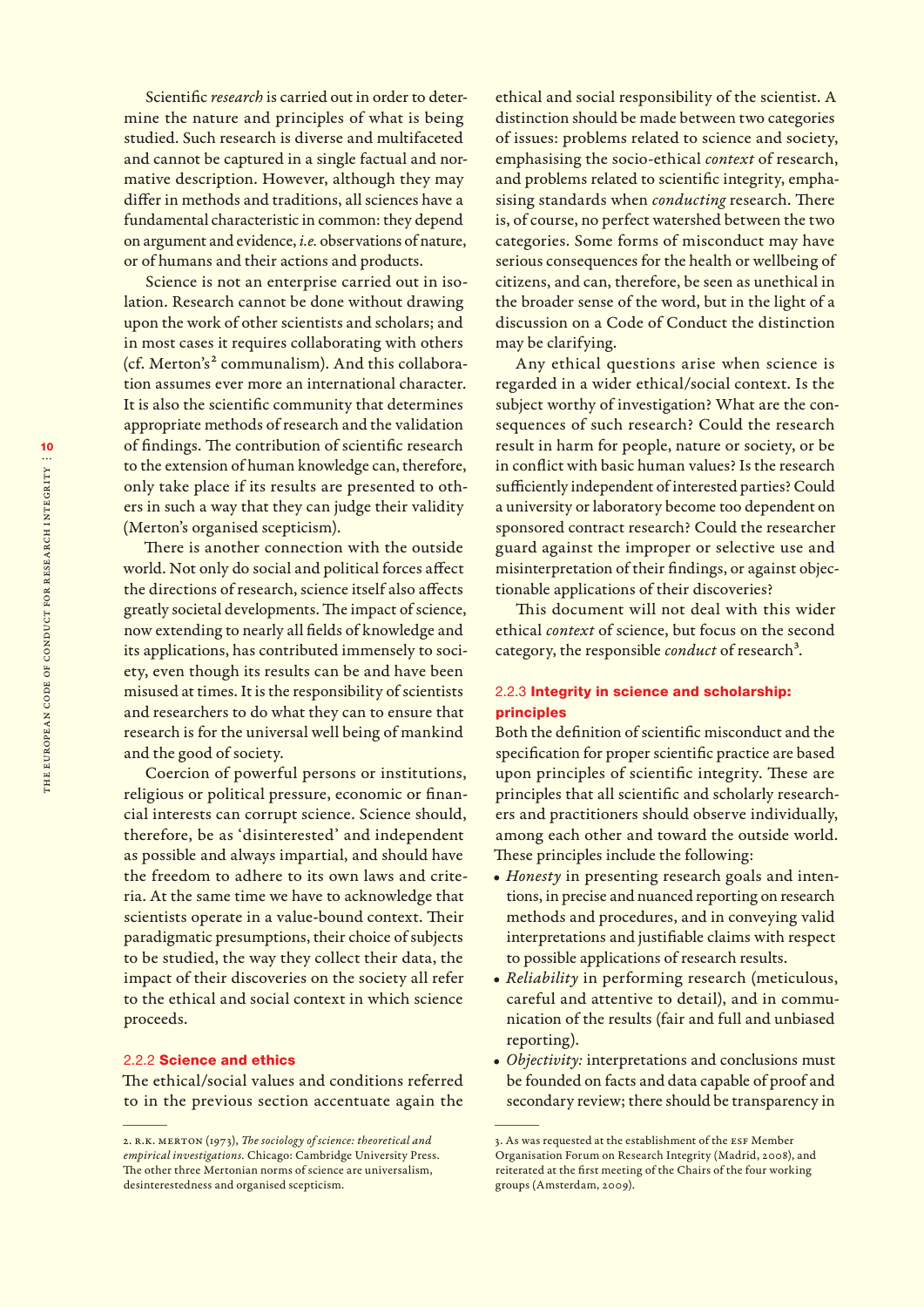Scientific *research* is carried out in order to determine the nature and principles of what is being studied. Such research is diverse and multifaceted and cannot be captured in a single factual and normative description. However, although they may differ in methods and traditions, all sciences have a fundamental characteristic in common: they depend on argument and evidence, *i.e.* observations of nature, or of humans and their actions and products.

Science is not an enterprise carried out in isolation. Research cannot be done without drawing upon the work of other scientists and scholars; and in most cases it requires collaborating with others (cf. Merton's $2$  communalism). And this collaboration assumes ever more an international character. It is also the scientific community that determines appropriate methods of research and the validation of findings. The contribution of scientific research to the extension of human knowledge can, therefore, only take place if its results are presented to others in such a way that they can judge their validity (Merton's organised scepticism).

There is another connection with the outside world. Not only do social and political forces affect the directions of research, science itself also affects greatly societal developments. The impact of science, now extending to nearly all fields of knowledge and its applications, has contributed immensely to society, even though its results can be and have been misused at times. It is the responsibility of scientists and researchers to do what they can to ensure that research is for the universal well being of mankind and the good of society.

Coercion of powerful persons or institutions, religious or political pressure, economic or financial interests can corrupt science. Science should, therefore, be as 'disinterested' and independent as possible and always impartial, and should have the freedom to adhere to its own laws and criteria. At the same time we have to acknowledge that scientists operate in a value-bound context. Their paradigmatic presumptions, their choice of subjects to be studied, the way they collect their data, the impact of their discoveries on the society all refer to the ethical and social context in which science proceeds.

#### 2.2.2 Science and ethics

The ethical/social values and conditions referred to in the previous section accentuate again the

ethical and social responsibility of the scientist. A distinction should be made between two categories of issues: problems related to science and society, emphasising the socio-ethical *context* of research, and problems related to scientific integrity, emphasising standards when *conducting* research. There is, of course, no perfect watershed between the two categories. Some forms of misconduct may have serious consequences for the health or wellbeing of citizens, and can, therefore, be seen as unethical in the broader sense of the word, but in the light of a discussion on a Code of Conduct the distinction may be clarifying.

Any ethical questions arise when science is regarded in a wider ethical/social context. Is the subject worthy of investigation? What are the consequences of such research? Could the research result in harm for people, nature or society, or be in conflict with basic human values? Is the research sufficiently independent of interested parties? Could a university or laboratory become too dependent on sponsored contract research? Could the researcher guard against the improper or selective use and misinterpretation of their findings, or against objectionable applications of their discoveries?

This document will not deal with this wider ethical *context* of science, but focus on the second category, the responsible *conduct* of research<sup>3</sup>.

#### 2.2.3 Integrity in science and scholarship: principles

Both the definition of scientific misconduct and the specification for proper scientific practice are based upon principles of scientific integrity. These are principles that all scientific and scholarly researchers and practitioners should observe individually, among each other and toward the outside world. These principles include the following:

- *• Honesty* in presenting research goals and intentions, in precise and nuanced reporting on research methods and procedures, and in conveying valid interpretations and justifiable claims with respect to possible applications of research results.
- *• Reliability* in performing research (meticulous, careful and attentive to detail), and in communication of the results (fair and full and unbiased reporting).
- *• Objectivity:* interpretations and conclusions must be founded on facts and data capable of proof and secondary review; there should be transparency in

<sup>2.</sup> R.K. Merton (1973), *The sociology of science: theoretical and empirical investigations.* Chicago: Cambridge University Press. The other three Mertonian norms of science are universalism, desinterestedness and organised scepticism.

<sup>3.</sup> As was requested at the establishment of the ESF Member Organisation Forum on Research Integrity (Madrid, 2008), and reiterated at the first meeting of the Chairs of the four working groups (Amsterdam, 2009).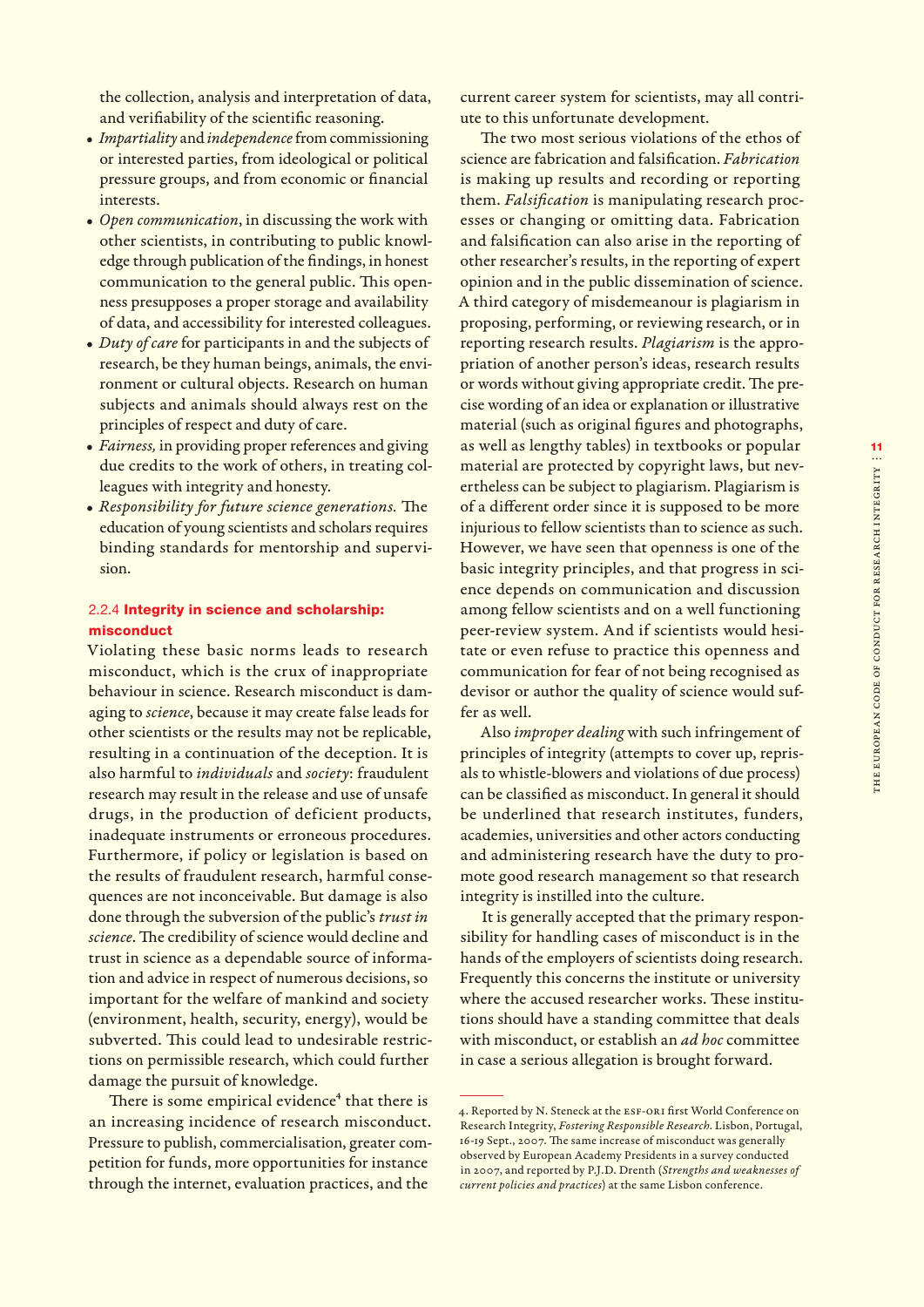the collection, analysis and interpretation of data, and verifiability of the scientific reasoning.

- *• Impartiality* and *independence* from commissioning or interested parties, from ideological or political pressure groups, and from economic or financial interests.
- *• Open communication*, in discussing the work with other scientists, in contributing to public knowledge through publication of the findings, in honest communication to the general public. This openness presupposes a proper storage and availability of data, and accessibility for interested colleagues.
- *• Duty of care* for participants in and the subjects of research, be they human beings, animals, the environment or cultural objects. Research on human subjects and animals should always rest on the principles of respect and duty of care.
- *• Fairness,* in providing proper references and giving due credits to the work of others, in treating colleagues with integrity and honesty.
- *• Responsibility for future science generations.* The education of young scientists and scholars requires binding standards for mentorship and supervision.

#### 2.2.4 Integrity in science and scholarship: misconduct

Violating these basic norms leads to research misconduct, which is the crux of inappropriate behaviour in science. Research misconduct is damaging to *science*, because it may create false leads for other scientists or the results may not be replicable, resulting in a continuation of the deception. It is also harmful to *individuals* and *society*: fraudulent research may result in the release and use of unsafe drugs, in the production of deficient products, inadequate instruments or erroneous procedures. Furthermore, if policy or legislation is based on the results of fraudulent research, harmful consequences are not inconceivable. But damage is also done through the subversion of the public's *trust in science*. The credibility of science would decline and trust in science as a dependable source of information and advice in respect of numerous decisions, so important for the welfare of mankind and society (environment, health, security, energy), would be subverted. This could lead to undesirable restrictions on permissible research, which could further damage the pursuit of knowledge.

There is some empirical evidence<sup>4</sup> that there is an increasing incidence of research misconduct. Pressure to publish, commercialisation, greater competition for funds, more opportunities for instance through the internet, evaluation practices, and the

current career system for scientists, may all contriute to this unfortunate development.

The two most serious violations of the ethos of science are fabrication and falsification. *Fabrication* is making up results and recording or reporting them. *Falsification* is manipulating research processes or changing or omitting data. Fabrication and falsification can also arise in the reporting of other researcher's results, in the reporting of expert opinion and in the public dissemination of science. A third category of misdemeanour is plagiarism in proposing, performing, or reviewing research, or in reporting research results. *Plagiarism* is the appropriation of another person's ideas, research results or words without giving appropriate credit. The precise wording of an idea or explanation or illustrative material (such as original figures and photographs, as well as lengthy tables) in textbooks or popular material are protected by copyright laws, but nevertheless can be subject to plagiarism. Plagiarism is of a different order since it is supposed to be more injurious to fellow scientists than to science as such. However, we have seen that openness is one of the basic integrity principles, and that progress in science depends on communication and discussion among fellow scientists and on a well functioning peer-review system. And if scientists would hesitate or even refuse to practice this openness and communication for fear of not being recognised as devisor or author the quality of science would suffer as well.

Also *improper dealing* with such infringement of principles of integrity (attempts to cover up, reprisals to whistle-blowers and violations of due process) can be classified as misconduct. In general it should be underlined that research institutes, funders, academies, universities and other actors conducting and administering research have the duty to promote good research management so that research integrity is instilled into the culture.

It is generally accepted that the primary responsibility for handling cases of misconduct is in the hands of the employers of scientists doing research. Frequently this concerns the institute or university where the accused researcher works. These institutions should have a standing committee that deals with misconduct, or establish an *ad hoc* committee in case a serious allegation is brought forward.

<sup>4.</sup> Reported by N. Steneck at the ESF-ORI first World Conference on Research Integrity, *Fostering Responsible Research*. Lisbon, Portugal, 16-19 Sept., 2007. The same increase of misconduct was generally observed by European Academy Presidents in a survey conducted in 2007, and reported by P.J.D. Drenth (*Strengths and weaknesses of current policies and practices*) at the same Lisbon conference.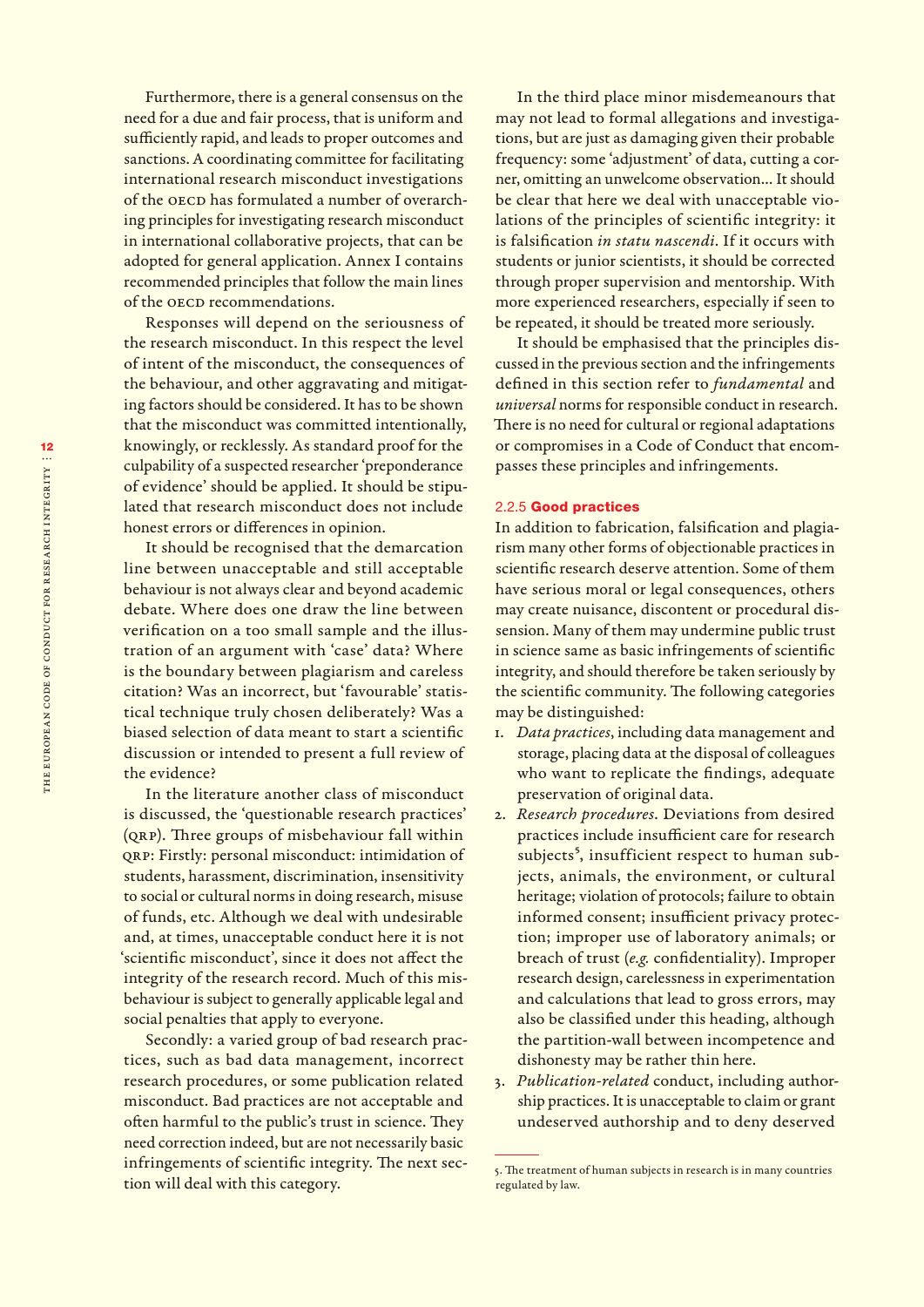Furthermore, there is a general consensus on the need for a due and fair process, that is uniform and sufficiently rapid, and leads to proper outcomes and sanctions. A coordinating committee for facilitating international research misconduct investigations of the OECD has formulated a number of overarching principles for investigating research misconduct in international collaborative projects, that can be adopted for general application. Annex I contains recommended principles that follow the main lines of the OECD recommendations.

Responses will depend on the seriousness of the research misconduct. In this respect the level of intent of the misconduct, the consequences of the behaviour, and other aggravating and mitigating factors should be considered. It has to be shown that the misconduct was committed intentionally, knowingly, or recklessly. As standard proof for the culpability of a suspected researcher 'preponderance of evidence' should be applied. It should be stipulated that research misconduct does not include honest errors or differences in opinion.

It should be recognised that the demarcation line between unacceptable and still acceptable behaviour is not always clear and beyond academic debate. Where does one draw the line between verification on a too small sample and the illustration of an argument with 'case' data? Where is the boundary between plagiarism and careless citation? Was an incorrect, but 'favourable' statistical technique truly chosen deliberately? Was a biased selection of data meant to start a scientific discussion or intended to present a full review of the evidence?

In the literature another class of misconduct is discussed, the 'questionable research practices' (QRP). Three groups of misbehaviour fall within QRP: Firstly: personal misconduct: intimidation of students, harassment, discrimination, insensitivity to social or cultural norms in doing research, misuse of funds, etc. Although we deal with undesirable and, at times, unacceptable conduct here it is not 'scientific misconduct', since it does not affect the integrity of the research record. Much of this misbehaviour is subject to generally applicable legal and social penalties that apply to everyone.

Secondly: a varied group of bad research practices, such as bad data management, incorrect research procedures, or some publication related misconduct. Bad practices are not acceptable and often harmful to the public's trust in science. They need correction indeed, but are not necessarily basic infringements of scientific integrity. The next section will deal with this category.

In the third place minor misdemeanours that may not lead to formal allegations and investigations, but are just as damaging given their probable frequency: some 'adjustment' of data, cutting a corner, omitting an unwelcome observation… It should be clear that here we deal with unacceptable violations of the principles of scientific integrity: it is falsification *in statu nascendi*. If it occurs with students or junior scientists, it should be corrected through proper supervision and mentorship. With more experienced researchers, especially if seen to be repeated, it should be treated more seriously.

It should be emphasised that the principles discussed in the previous section and the infringements defined in this section refer to *fundamental* and *universal* norms for responsible conduct in research. There is no need for cultural or regional adaptations or compromises in a Code of Conduct that encompasses these principles and infringements.

#### 2.2.5 Good practices

In addition to fabrication, falsification and plagiarism many other forms of objectionable practices in scientific research deserve attention. Some of them have serious moral or legal consequences, others may create nuisance, discontent or procedural dissension. Many of them may undermine public trust in science same as basic infringements of scientific integrity, and should therefore be taken seriously by the scientific community. The following categories may be distinguished:

- 1. *Data practices*, including data management and storage, placing data at the disposal of colleagues who want to replicate the findings, adequate preservation of original data.
- 2. *Research procedures*. Deviations from desired practices include insufficient care for research subjects<sup>5</sup>, insufficient respect to human subjects, animals, the environment, or cultural heritage; violation of protocols; failure to obtain informed consent; insufficient privacy protection; improper use of laboratory animals; or breach of trust (*e.g.* confidentiality). Improper research design, carelessness in experimentation and calculations that lead to gross errors, may also be classified under this heading, although the partition-wall between incompetence and dishonesty may be rather thin here.
- 3. *Publication-related* conduct, including authorship practices. It is unacceptable to claim or grant undeserved authorship and to deny deserved

<sup>5.</sup> The treatment of human subjects in research is in many countries regulated by law.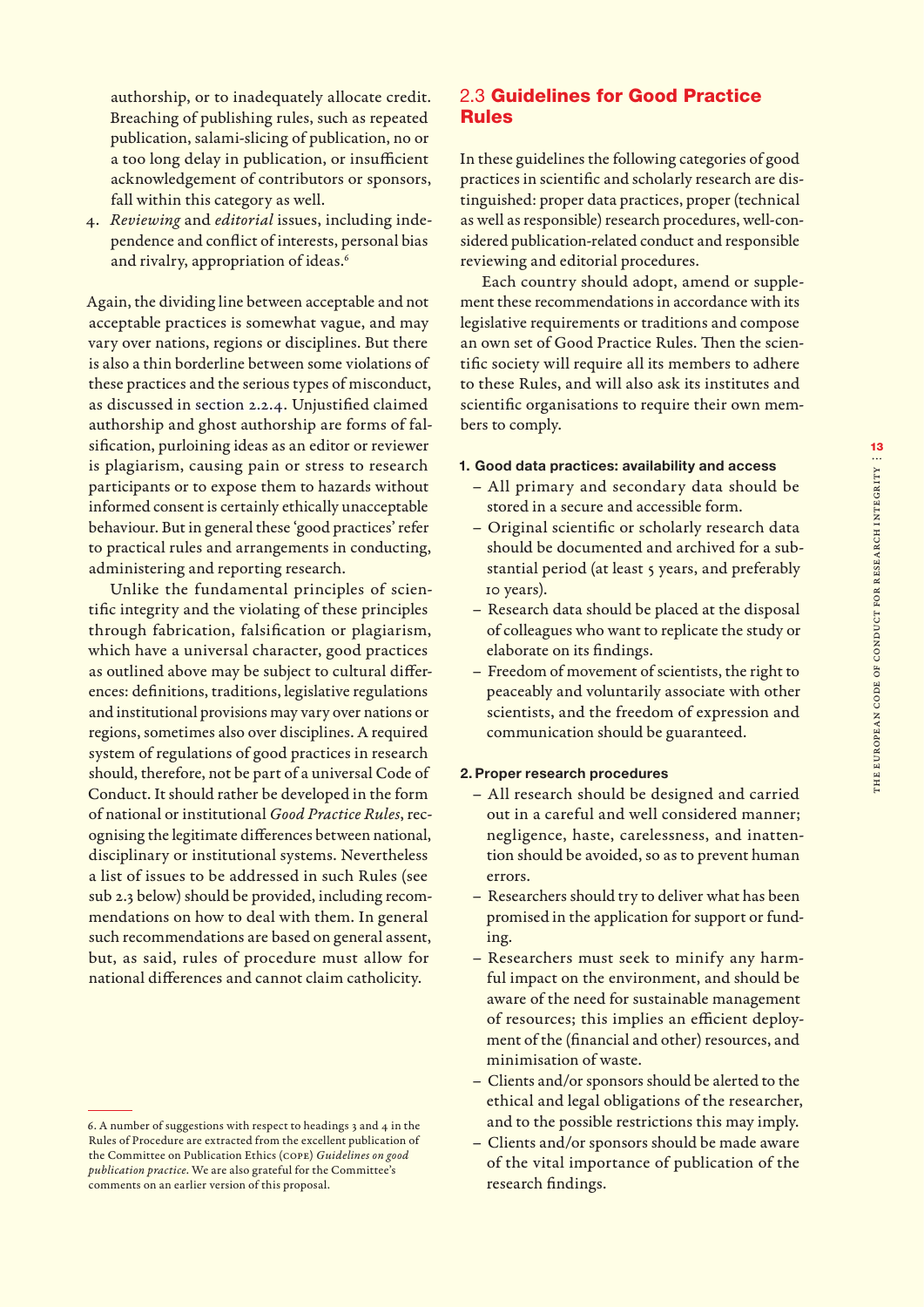authorship, or to inadequately allocate credit. Breaching of publishing rules, such as repeated publication, salami-slicing of publication, no or a too long delay in publication, or insufficient acknowledgement of contributors or sponsors, fall within this category as well.

4. *Reviewing* and *editorial* issues, including independence and conflict of interests, personal bias and rivalry, appropriation of ideas.<sup>6</sup>

Again, the dividing line between acceptable and not acceptable practices is somewhat vague, and may vary over nations, regions or disciplines. But there is also a thin borderline between some violations of these practices and the serious types of misconduct, as discussed in section 2.2.4. Unjustified claimed authorship and ghost authorship are forms of falsification, purloining ideas as an editor or reviewer is plagiarism, causing pain or stress to research participants or to expose them to hazards without informed consent is certainly ethically unacceptable behaviour. But in general these 'good practices' refer to practical rules and arrangements in conducting, administering and reporting research.

Unlike the fundamental principles of scientific integrity and the violating of these principles through fabrication, falsification or plagiarism, which have a universal character, good practices as outlined above may be subject to cultural differences: definitions, traditions, legislative regulations and institutional provisions may vary over nations or regions, sometimes also over disciplines. A required system of regulations of good practices in research should, therefore, not be part of a universal Code of Conduct. It should rather be developed in the form of national or institutional *Good Practice Rules*, recognising the legitimate differences between national, disciplinary or institutional systems. Nevertheless a list of issues to be addressed in such Rules (see sub 2.3 below) should be provided, including recommendations on how to deal with them. In general such recommendations are based on general assent, but, as said, rules of procedure must allow for national differences and cannot claim catholicity.

#### 2.3 Guidelines for Good Practice Rules

In these guidelines the following categories of good practices in scientific and scholarly research are distinguished: proper data practices, proper (technical as well as responsible) research procedures, well-considered publication-related conduct and responsible reviewing and editorial procedures.

Each country should adopt, amend or supplement these recommendations in accordance with its legislative requirements or traditions and compose an own set of Good Practice Rules. Then the scientific society will require all its members to adhere to these Rules, and will also ask its institutes and scientific organisations to require their own members to comply.

#### 1. Good data practices: availability and access

- All primary and secondary data should be stored in a secure and accessible form.
- Original scientific or scholarly research data should be documented and archived for a substantial period (at least 5 years, and preferably 10 years).
- Research data should be placed at the disposal of colleagues who want to replicate the study or elaborate on its findings.
- Freedom of movement of scientists, the right to peaceably and voluntarily associate with other scientists, and the freedom of expression and communication should be guaranteed.

#### 2. Proper research procedures

- All research should be designed and carried out in a careful and well considered manner; negligence, haste, carelessness, and inattention should be avoided, so as to prevent human errors.
- Researchers should try to deliver what has been promised in the application for support or funding.
- Researchers must seek to minify any harmful impact on the environment, and should be aware of the need for sustainable management of resources; this implies an efficient deployment of the (financial and other) resources, and minimisation of waste.
- Clients and/or sponsors should be alerted to the ethical and legal obligations of the researcher, and to the possible restrictions this may imply.
- Clients and/or sponsors should be made aware of the vital importance of publication of the research findings.

<sup>6.</sup> A number of suggestions with respect to headings 3 and 4 in the  $\,$ Rules of Procedure are extracted from the excellent publication of the Committee on Publication Ethics (COPE) *Guidelines on good publication practice*. We are also grateful for the Committee's comments on an earlier version of this proposal.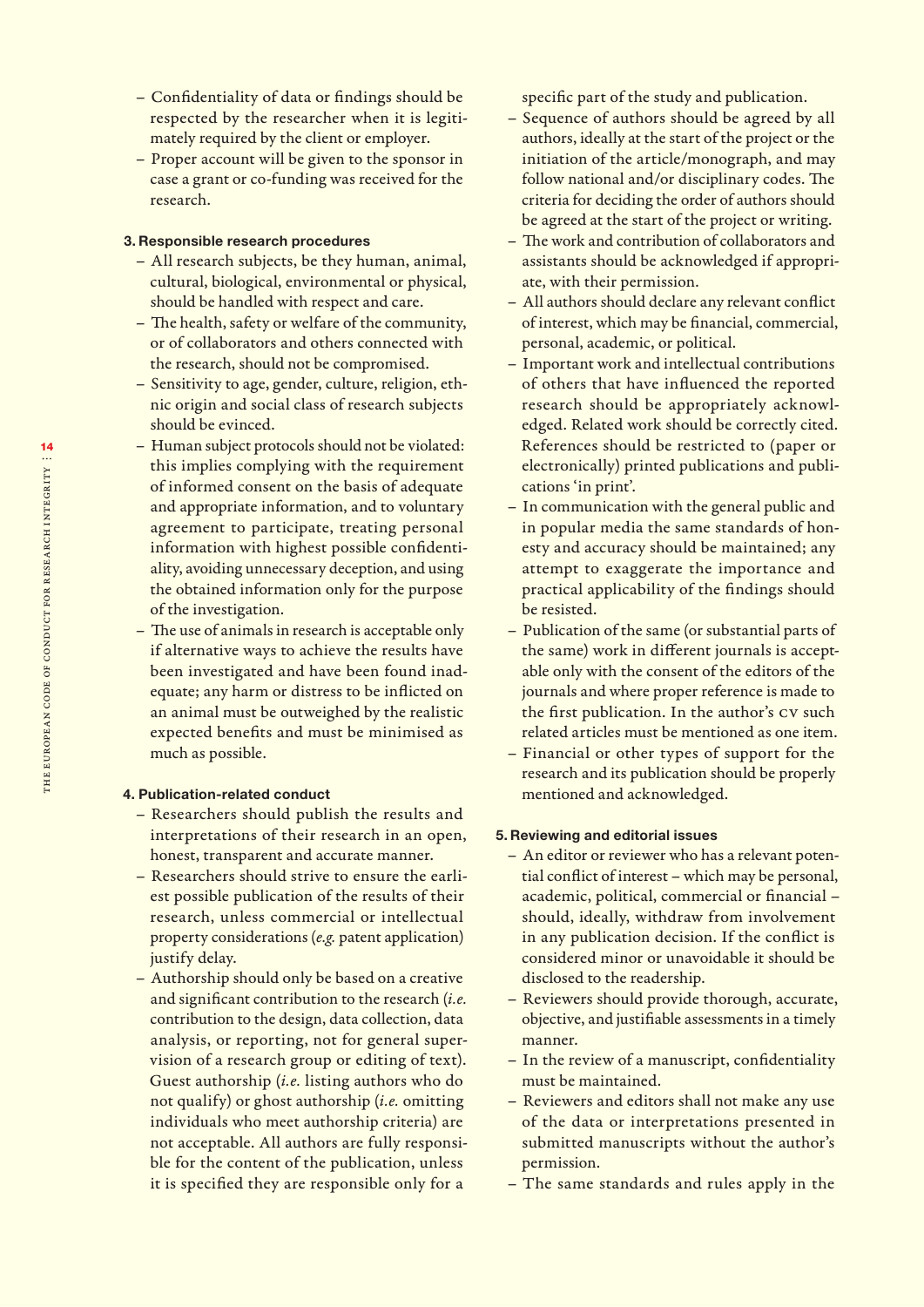- Confidentiality of data or findings should be respected by the researcher when it is legitimately required by the client or employer.
- Proper account will be given to the sponsor in case a grant or co-funding was received for the research.

#### 3. Responsible research procedures

- All research subjects, be they human, animal, cultural, biological, environmental or physical, should be handled with respect and care.
- The health, safety or welfare of the community, or of collaborators and others connected with the research, should not be compromised.
- Sensitivity to age, gender, culture, religion, ethnic origin and social class of research subjects should be evinced.
- Human subject protocols should not be violated: this implies complying with the requirement of informed consent on the basis of adequate and appropriate information, and to voluntary agreement to participate, treating personal information with highest possible confidentiality, avoiding unnecessary deception, and using the obtained information only for the purpose of the investigation.
- The use of animals in research is acceptable only if alternative ways to achieve the results have been investigated and have been found inadequate; any harm or distress to be inflicted on an animal must be outweighed by the realistic expected benefits and must be minimised as much as possible.

#### 4. Publication-related conduct

- Researchers should publish the results and interpretations of their research in an open, honest, transparent and accurate manner.
- Researchers should strive to ensure the earliest possible publication of the results of their research, unless commercial or intellectual property considerations (*e.g.* patent application) justify delay.
- Authorship should only be based on a creative and significant contribution to the research (*i.e.* contribution to the design, data collection, data analysis, or reporting, not for general supervision of a research group or editing of text). Guest authorship (*i.e.* listing authors who do not qualify) or ghost authorship (*i.e.* omitting individuals who meet authorship criteria) are not acceptable. All authors are fully responsible for the content of the publication, unless it is specified they are responsible only for a

specific part of the study and publication.

- Sequence of authors should be agreed by all authors, ideally at the start of the project or the initiation of the article/monograph, and may follow national and/or disciplinary codes. The criteria for deciding the order of authors should be agreed at the start of the project or writing.
- The work and contribution of collaborators and assistants should be acknowledged if appropriate, with their permission.
- All authors should declare any relevant conflict of interest, which may be financial, commercial, personal, academic, or political.
- Important work and intellectual contributions of others that have influenced the reported research should be appropriately acknowledged. Related work should be correctly cited. References should be restricted to (paper or electronically) printed publications and publications 'in print'.
- In communication with the general public and in popular media the same standards of honesty and accuracy should be maintained; any attempt to exaggerate the importance and practical applicability of the findings should be resisted.
- Publication of the same (or substantial parts of the same) work in different journals is acceptable only with the consent of the editors of the journals and where proper reference is made to the first publication. In the author's CV such related articles must be mentioned as one item.
- Financial or other types of support for the research and its publication should be properly mentioned and acknowledged.

#### 5. Reviewing and editorial issues

- An editor or reviewer who has a relevant potential conflict of interest – which may be personal, academic, political, commercial or financial – should, ideally, withdraw from involvement in any publication decision. If the conflict is considered minor or unavoidable it should be disclosed to the readership.
- Reviewers should provide thorough, accurate, objective, and justifiable assessments in a timely manner.
- In the review of a manuscript, confidentiality must be maintained.
- Reviewers and editors shall not make any use of the data or interpretations presented in submitted manuscripts without the author's permission.
- The same standards and rules apply in the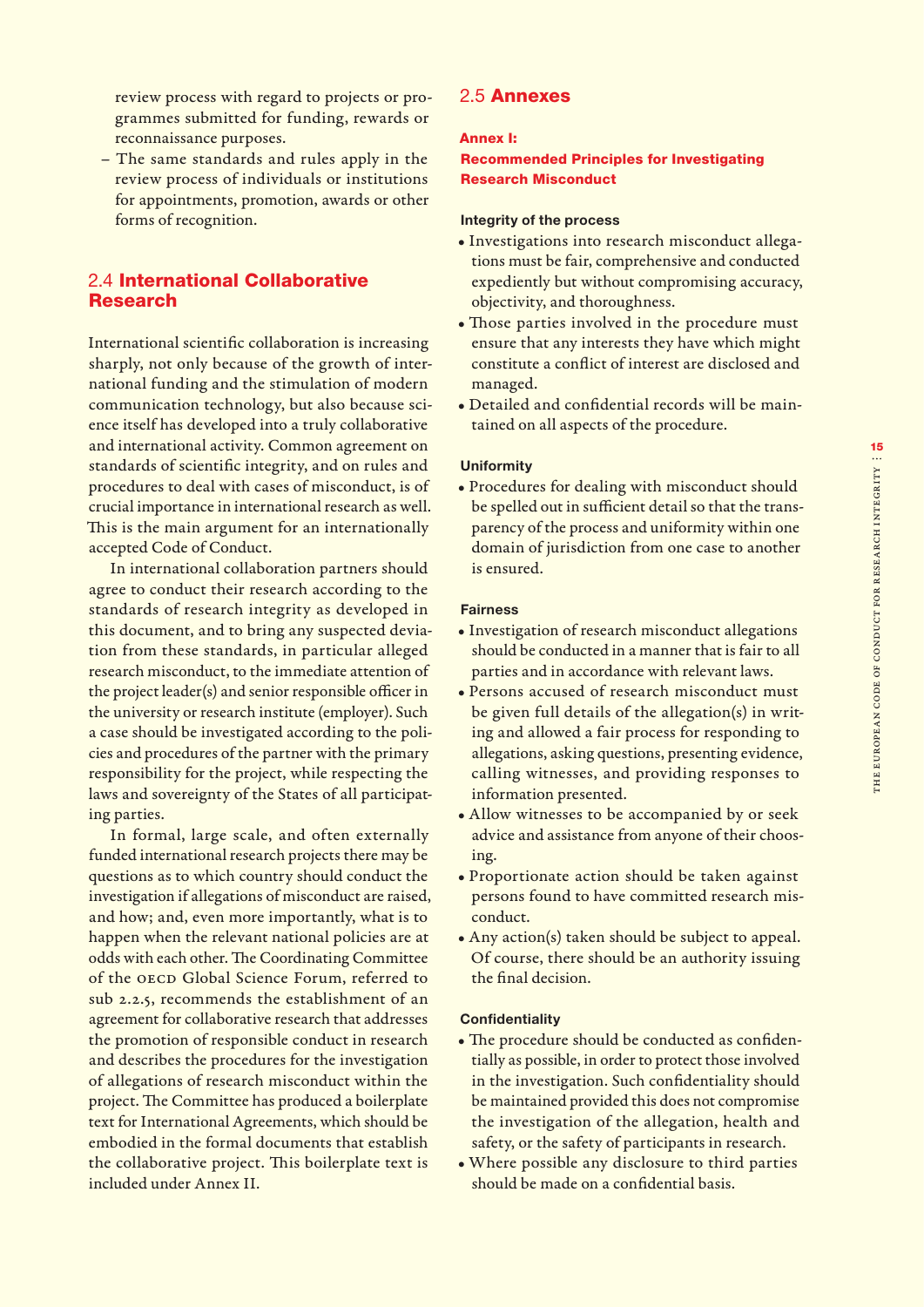review process with regard to projects or programmes submitted for funding, rewards or reconnaissance purposes.

– The same standards and rules apply in the review process of individuals or institutions for appointments, promotion, awards or other forms of recognition.

#### 2.4 International Collaborative Research

International scientific collaboration is increasing sharply, not only because of the growth of international funding and the stimulation of modern communication technology, but also because science itself has developed into a truly collaborative and international activity. Common agreement on standards of scientific integrity, and on rules and procedures to deal with cases of misconduct, is of crucial importance in international research as well. This is the main argument for an internationally accepted Code of Conduct.

In international collaboration partners should agree to conduct their research according to the standards of research integrity as developed in this document, and to bring any suspected deviation from these standards, in particular alleged research misconduct, to the immediate attention of the project leader(s) and senior responsible officer in the university or research institute (employer). Such a case should be investigated according to the policies and procedures of the partner with the primary responsibility for the project, while respecting the laws and sovereignty of the States of all participating parties.

In formal, large scale, and often externally funded international research projects there may be questions as to which country should conduct the investigation if allegations of misconduct are raised, and how; and, even more importantly, what is to happen when the relevant national policies are at odds with each other. The Coordinating Committee of the OECD Global Science Forum, referred to sub 2.2.5, recommends the establishment of an agreement for collaborative research that addresses the promotion of responsible conduct in research and describes the procedures for the investigation of allegations of research misconduct within the project. The Committee has produced a boilerplate text for International Agreements, which should be embodied in the formal documents that establish the collaborative project. This boilerplate text is included under Annex II.

#### 2.5 Annexes

#### Annex I:

#### Recommended Principles for Investigating Research Misconduct

#### Integrity of the process

- Investigations into research misconduct allegations must be fair, comprehensive and conducted expediently but without compromising accuracy, objectivity, and thoroughness.
- Those parties involved in the procedure must ensure that any interests they have which might constitute a conflict of interest are disclosed and managed.
- Detailed and confidential records will be maintained on all aspects of the procedure.

#### **Uniformity**

• Procedures for dealing with misconduct should be spelled out in sufficient detail so that the transparency of the process and uniformity within one domain of jurisdiction from one case to another is ensured.

#### Fairness

- Investigation of research misconduct allegations should be conducted in a manner that is fair to all parties and in accordance with relevant laws.
- Persons accused of research misconduct must be given full details of the allegation(s) in writing and allowed a fair process for responding to allegations, asking questions, presenting evidence, calling witnesses, and providing responses to information presented.
- Allow witnesses to be accompanied by or seek advice and assistance from anyone of their choosing.
- Proportionate action should be taken against persons found to have committed research misconduct.
- Any action(s) taken should be subject to appeal. Of course, there should be an authority issuing the final decision.

#### **Confidentiality**

- The procedure should be conducted as confidentially as possible, in order to protect those involved in the investigation. Such confidentiality should be maintained provided this does not compromise the investigation of the allegation, health and safety, or the safety of participants in research.
- Where possible any disclosure to third parties should be made on a confidential basis.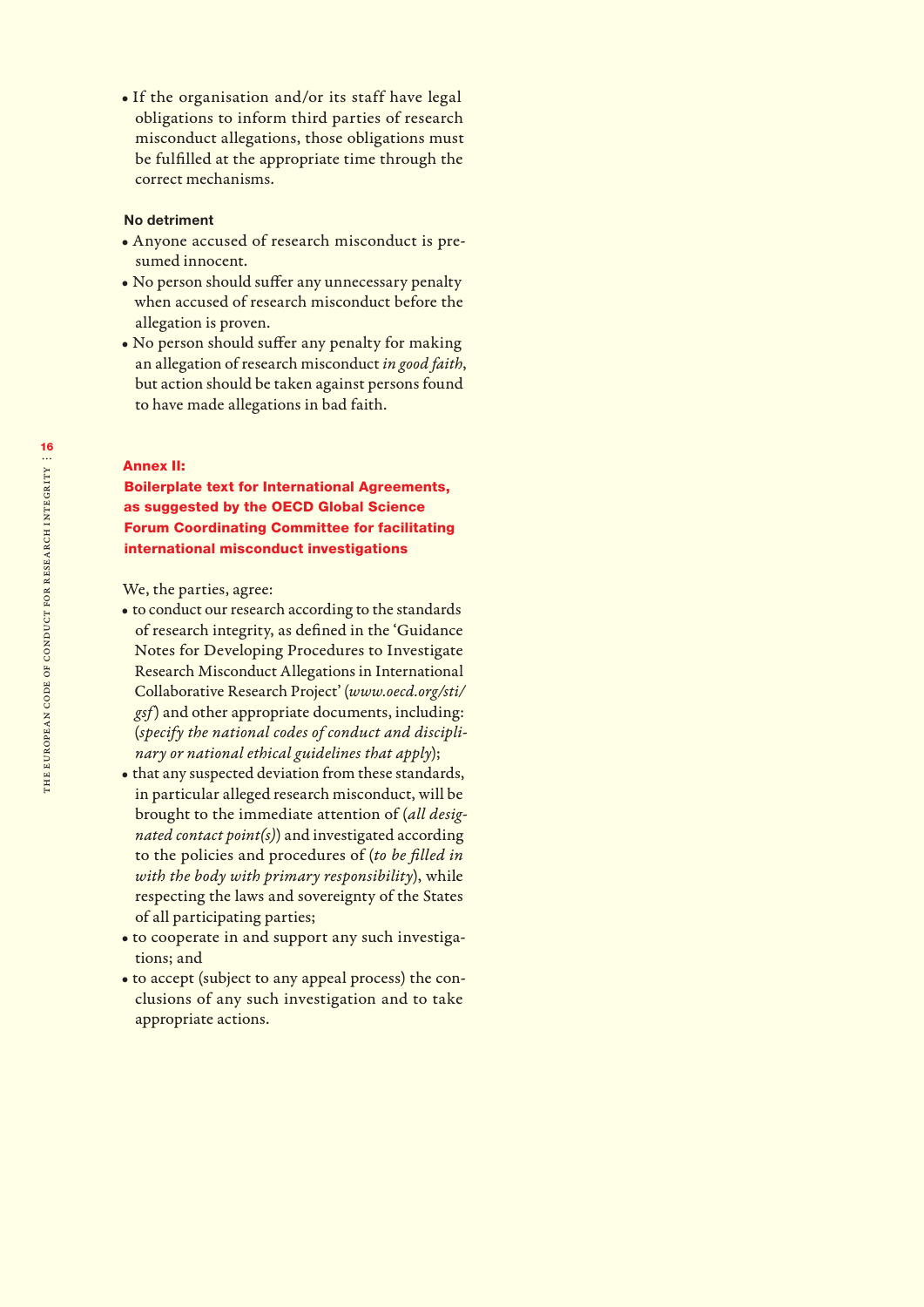• If the organisation and/or its staff have legal obligations to inform third parties of research misconduct allegations, those obligations must be fulfilled at the appropriate time through the correct mechanisms.

#### No detriment

- Anyone accused of research misconduct is pre sumed innocent.
- No person should suffer any unnecessary penalty when accused of research misconduct before the allegation is proven.
- No person should suffer any penalty for making an allegation of research misconduct *in good faith*, but action should be taken against persons found to have made allegations in bad faith.

#### Annex II:

Boilerplate text for International Agreements, as suggested by the OECD Global Science Forum Coordinating Committee for facilitating international misconduct investigations

We, the parties, agree:

- to conduct our research according to the standards of research integrity, as defined in the 'Guidance Notes for Developing Procedures to Investigate Research Misconduct Allegations in International Collaborative Research Project' (*www.oecd.org/sti/ (specify the national codes of conduct and disciplinary or national ethical guidelines that apply*);
- that any suspected deviation from these standards, in particular alleged research misconduct, will be brought to the immediate attention of (*all desig nated contact point(s)*) and investigated according to the policies and procedures of (*to be filled in with the body with primary responsibility*), while respecting the laws and sovereignty of the States of all participating parties;
- to cooperate in and support any such investiga tions; and
- to accept (subject to any appeal process) the con clusions of any such investigation and to take appropriate actions.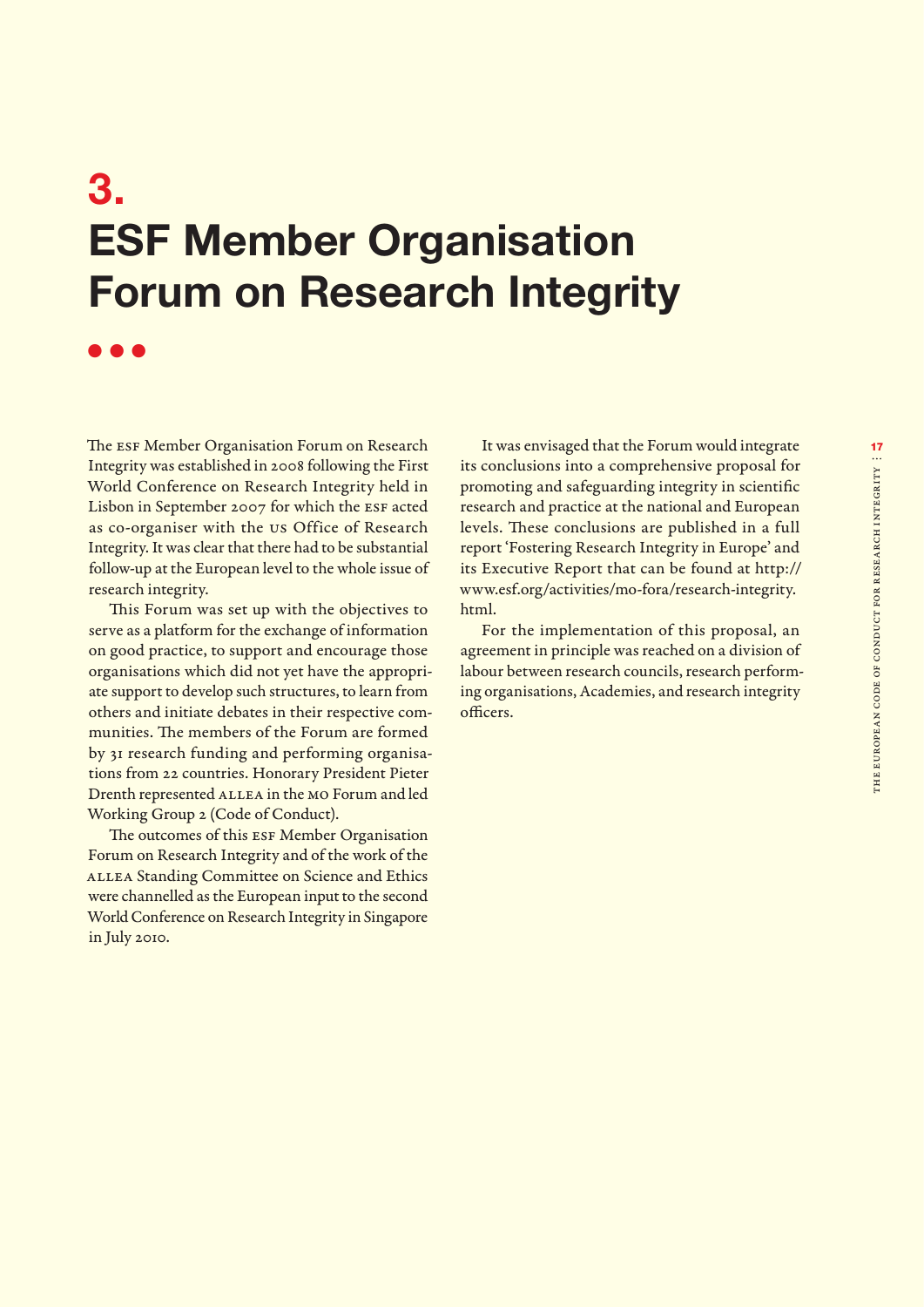## 3. ESF Member Organisation Forum on Research Integrity

The ESF Member Organisation Forum on Research Integrity was established in 2008 following the First World Conference on Research Integrity held in Lisbon in September 2007 for which the ESF acted as co-organiser with the US Office of Research Integrity. It was clear that there had to be substantial follow-up at the European level to the whole issue of research integrity.

 $\bullet$   $\bullet$ 

This Forum was set up with the objectives to serve as a platform for the exchange of information on good practice, to support and encourage those organisations which did not yet have the appropriate support to develop such structures, to learn from others and initiate debates in their respective communities. The members of the Forum are formed by 31 research funding and performing organisations from 22 countries. Honorary President Pieter Drenth represented ALLEA in the MO Forum and led Working Group 2 (Code of Conduct).

The outcomes of this ESF Member Organisation Forum on Research Integrity and of the work of the ALLEA Standing Committee on Science and Ethics were channelled as the European input to the second World Conference on Research Integrity in Singapore in July 2010.

It was envisaged that the Forum would integrate its conclusions into a comprehensive proposal for promoting and safeguarding integrity in scientific research and practice at the national and European levels. These conclusions are published in a full report 'Fostering Research Integrity in Europe' and its Executive Report that can be found at http:// www.esf.org/activities/mo-fora/research-integrity. html.

For the implementation of this proposal, an agreement in principle was reached on a division of labour between research councils, research performing organisations, Academies, and research integrity officers.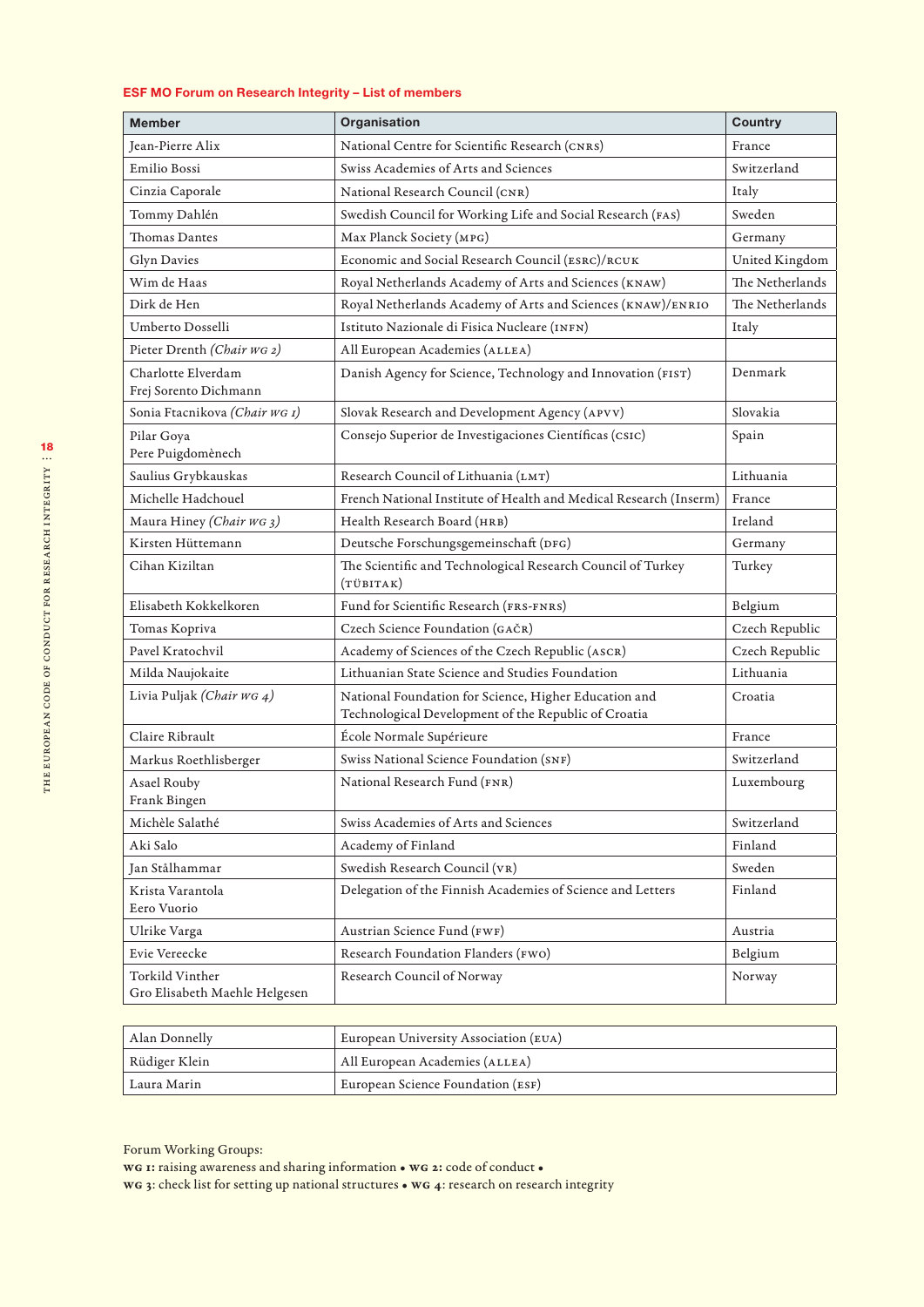#### ESF MO Forum on Research Integrity – List of members

| <b>Member</b>                                    | Organisation                                                                                                  | <b>Country</b>  |
|--------------------------------------------------|---------------------------------------------------------------------------------------------------------------|-----------------|
| Jean-Pierre Alix                                 | National Centre for Scientific Research (CNRS)                                                                | France          |
| Emilio Bossi                                     | Swiss Academies of Arts and Sciences                                                                          | Switzerland     |
| Cinzia Caporale                                  | National Research Council (CNR)                                                                               | Italy           |
| Tommy Dahlén                                     | Swedish Council for Working Life and Social Research (FAS)                                                    | Sweden          |
| Thomas Dantes                                    | Max Planck Society (MPG)                                                                                      | Germany         |
| <b>Glyn Davies</b>                               | Economic and Social Research Council (ESRC)/RCUK                                                              | United Kingdom  |
| Wim de Haas                                      | Royal Netherlands Academy of Arts and Sciences (KNAW)                                                         | The Netherlands |
| Dirk de Hen                                      | Royal Netherlands Academy of Arts and Sciences (KNAW)/ENRIO                                                   | The Netherlands |
| Umberto Dosselli                                 | Istituto Nazionale di Fisica Nucleare (INFN)                                                                  | Italy           |
| Pieter Drenth (Chair WG 2)                       | All European Academies (ALLEA)                                                                                |                 |
| Charlotte Elverdam<br>Frej Sorento Dichmann      | Danish Agency for Science, Technology and Innovation (FIST)                                                   | Denmark         |
| Sonia Ftacnikova (Chair WG 1)                    | Slovak Research and Development Agency (APVV)                                                                 | Slovakia        |
| Pilar Goya<br>Pere Puigdomènech                  | Consejo Superior de Investigaciones Científicas (CSIC)                                                        | Spain           |
| Saulius Grybkauskas                              | Research Council of Lithuania (LMT)                                                                           | Lithuania       |
| Michelle Hadchouel                               | French National Institute of Health and Medical Research (Inserm)                                             | France          |
| Maura Hiney (Chair WG 3)                         | Health Research Board (HRB)                                                                                   | Ireland         |
| Kirsten Hüttemann                                | Deutsche Forschungsgemeinschaft (DFG)                                                                         | Germany         |
| Cihan Kiziltan                                   | The Scientific and Technological Research Council of Turkey<br>(TÜBITAK)                                      | Turkey          |
| Elisabeth Kokkelkoren                            | Fund for Scientific Research (FRS-FNRS)                                                                       | Belgium         |
| Tomas Kopriva                                    | Czech Science Foundation (GAČR)                                                                               | Czech Republic  |
| Pavel Kratochvil                                 | Academy of Sciences of the Czech Republic (ASCR)                                                              | Czech Republic  |
| Milda Naujokaite                                 | Lithuanian State Science and Studies Foundation                                                               | Lithuania       |
| Livia Puljak (Chair WG $_4$ )                    | National Foundation for Science, Higher Education and<br>Technological Development of the Republic of Croatia | Croatia         |
| Claire Ribrault                                  | École Normale Supérieure                                                                                      | France          |
| Markus Roethlisberger                            | Swiss National Science Foundation (SNF)                                                                       | Switzerland     |
| Asael Rouby<br>Frank Bingen                      | National Research Fund (FNR)                                                                                  | Luxembourg      |
| Michèle Salathé                                  | Swiss Academies of Arts and Sciences                                                                          | Switzerland     |
| Aki Salo                                         | Academy of Finland                                                                                            | Finland         |
| Jan Stålhammar                                   | Swedish Research Council (VR)                                                                                 | Sweden          |
| Krista Varantola<br>Eero Vuorio                  | Delegation of the Finnish Academies of Science and Letters                                                    | Finland         |
| Ulrike Varga                                     | Austrian Science Fund (FWF)                                                                                   | Austria         |
| Evie Vereecke                                    | Research Foundation Flanders (FWO)                                                                            | Belgium         |
| Torkild Vinther<br>Gro Elisabeth Maehle Helgesen | Research Council of Norway                                                                                    | Norway          |

| Alan Donnelly | European University Association (EUA) |
|---------------|---------------------------------------|
| Rüdiger Klein | All European Academies (ALLEA)        |
| Laura Marin   | European Science Foundation (ESF)     |

Forum Working Groups:

WG 1: raising awareness and sharing information • WG 2: code of conduct •

WG 3: check list for setting up national structures • WG 4: research on research integrity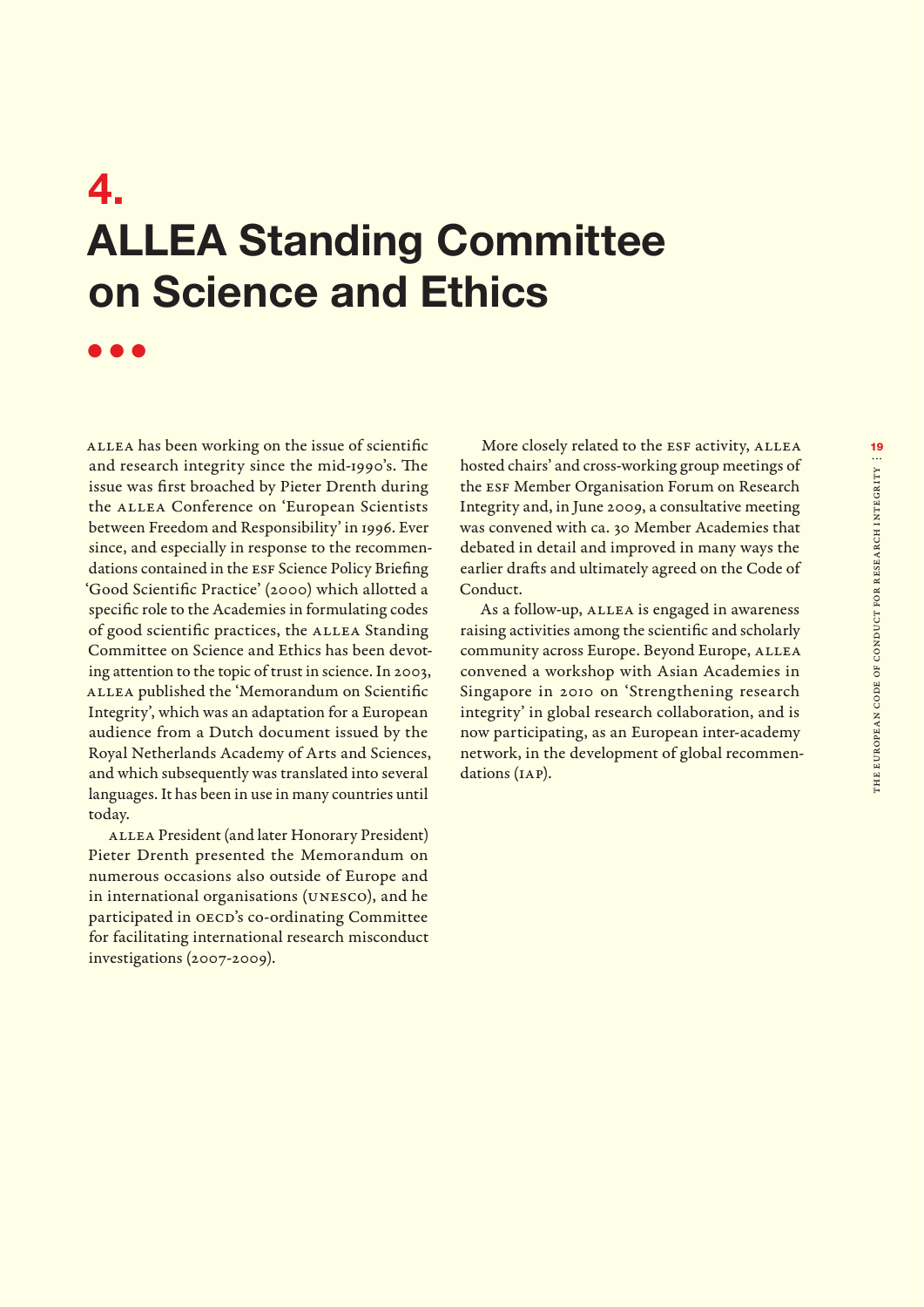# THE EUROPEAN CODE OF CONDUCT FOR RESEARCH INTEGRITY The European Code of Conduct for Research Integrity

# 4. ALLEA Standing Committee on Science and Ethics

and research integrity since the mid-1990's. The issue was first broached by Pieter Drenth during the ALLEA Conference on 'European Scientists between Freedom and Responsibility' in 1996. Ever since, and especially in response to the recommendations contained in the ESF Science Policy Briefing 'Good Scientific Practice' (2000) which allotted a specific role to the Academies in formulating codes of good scientific practices, the ALLEA Standing Committee on Science and Ethics has been devoting attention to the topic of trust in science. In 2003, ALLEA published the 'Memorandum on Scientific Integrity', which was an adaptation for a European audience from a Dutch document issued by the Royal Netherlands Academy of Arts and Sciences, and which subsequently was translated into several languages. It has been in use in many countries until today.

 $\bullet$   $\bullet$ 

ALLEA President (and later Honorary President) Pieter Drenth presented the Memorandum on numerous occasions also outside of Europe and in international organisations (UNESCO), and he participated in OECD's co-ordinating Committee for facilitating international research misconduct investigations (2007-2009).

ALLEA has been working on the issue of scientific More closely related to the ESF activity, ALLEA 19 More closely related to the ESF activity, ALLEA hosted chairs' and cross-working group meetings of the ESF Member Organisation Forum on Research Integrity and, in June 2009, a consultative meeting was convened with ca. 30 Member Academies that debated in detail and improved in many ways the earlier drafts and ultimately agreed on the Code of Conduct.

> As a follow-up, ALLEA is engaged in awareness raising activities among the scientific and scholarly community across Europe. Beyond Europe, ALLEA convened a workshop with Asian Academies in Singapore in 2010 on 'Strengthening research integrity' in global research collaboration, and is now participating, as an European inter-academy network, in the development of global recommendations (IAP).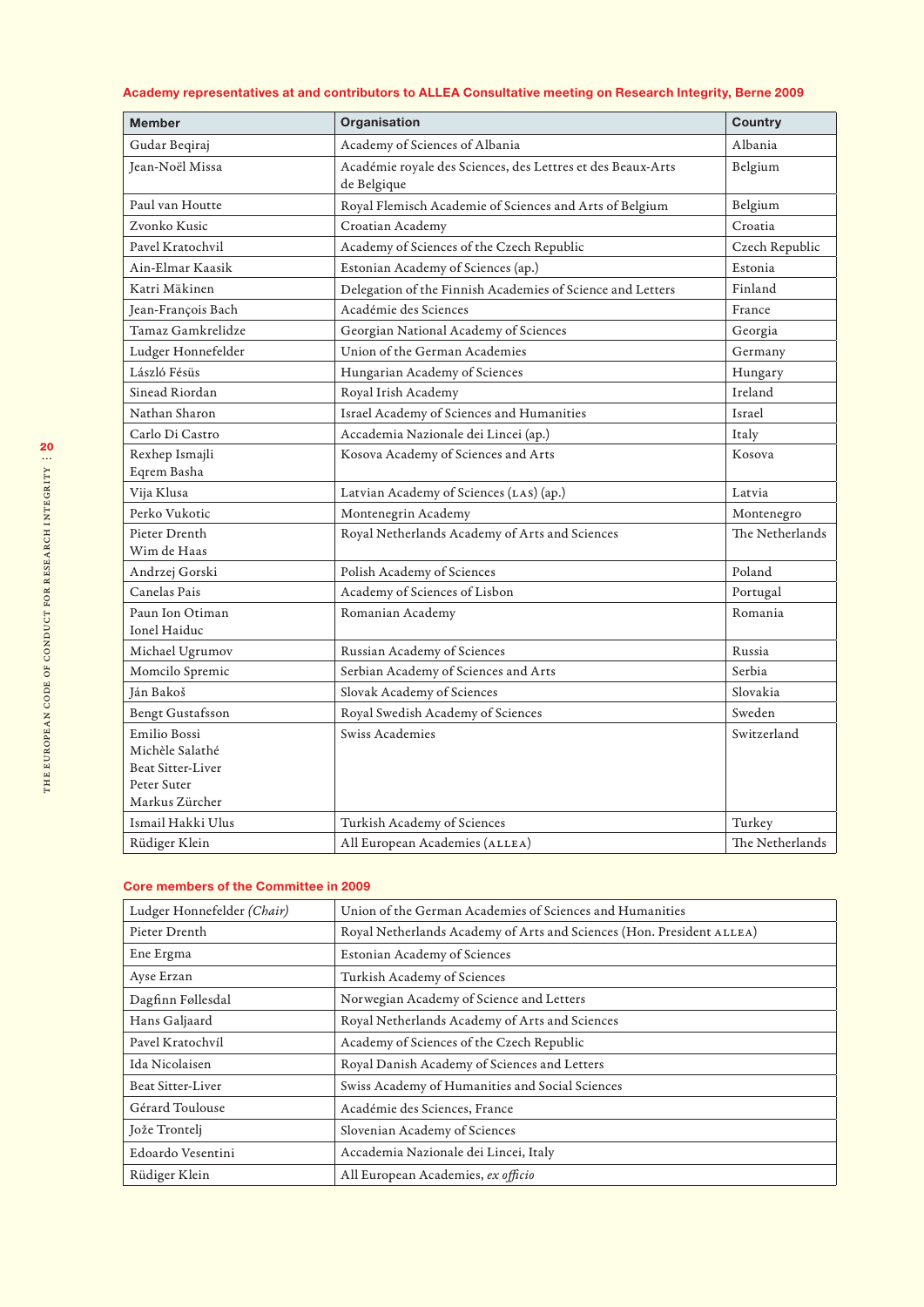#### Academy representatives at and contributors to ALLEA Consultative meeting on Research Integrity, Berne 2009

| <b>Member</b>                                                                                | Organisation                                                               | <b>Country</b>  |
|----------------------------------------------------------------------------------------------|----------------------------------------------------------------------------|-----------------|
| Gudar Beqiraj                                                                                | Academy of Sciences of Albania                                             | Albania         |
| Jean-Noël Missa                                                                              | Académie royale des Sciences, des Lettres et des Beaux-Arts<br>de Belgique | Belgium         |
| Paul van Houtte                                                                              | Royal Flemisch Academie of Sciences and Arts of Belgium                    | Belgium         |
| Zvonko Kusic                                                                                 | Croatian Academy                                                           | Croatia         |
| Pavel Kratochvil                                                                             | Academy of Sciences of the Czech Republic                                  | Czech Republic  |
| Ain-Elmar Kaasik                                                                             | Estonian Academy of Sciences (ap.)                                         | Estonia         |
| Katri Mäkinen                                                                                | Delegation of the Finnish Academies of Science and Letters                 | Finland         |
| Jean-François Bach                                                                           | Académie des Sciences                                                      | France          |
| Tamaz Gamkrelidze                                                                            | Georgian National Academy of Sciences                                      | Georgia         |
| Ludger Honnefelder                                                                           | Union of the German Academies                                              | Germany         |
| László Fésüs                                                                                 | Hungarian Academy of Sciences                                              | Hungary         |
| Sinead Riordan                                                                               | Royal Irish Academy                                                        | Ireland         |
| Nathan Sharon                                                                                | Israel Academy of Sciences and Humanities                                  | Israel          |
| Carlo Di Castro                                                                              | Accademia Nazionale dei Lincei (ap.)                                       | Italy           |
| Rexhep Ismajli<br>Eqrem Basha                                                                | Kosova Academy of Sciences and Arts                                        | Kosova          |
| Vija Klusa                                                                                   | Latvian Academy of Sciences (LAS) (ap.)                                    | Latvia          |
| Perko Vukotic                                                                                | Montenegrin Academy                                                        | Montenegro      |
| Pieter Drenth<br>Wim de Haas                                                                 | Royal Netherlands Academy of Arts and Sciences                             | The Netherlands |
| Andrzej Gorski                                                                               | Polish Academy of Sciences                                                 | Poland          |
| Canelas Pais                                                                                 | Academy of Sciences of Lisbon                                              | Portugal        |
| Paun Ion Otiman<br>Ionel Haiduc                                                              | Romanian Academy                                                           | Romania         |
| Michael Ugrumov                                                                              | Russian Academy of Sciences                                                | Russia          |
| Momcilo Spremic                                                                              | Serbian Academy of Sciences and Arts                                       | Serbia          |
| Ján Bakoš                                                                                    | Slovak Academy of Sciences                                                 | Slovakia        |
| <b>Bengt Gustafsson</b>                                                                      | Royal Swedish Academy of Sciences                                          | Sweden          |
| Emilio Bossi<br>Michèle Salathé<br><b>Beat Sitter-Liver</b><br>Peter Suter<br>Markus Zürcher | Swiss Academies                                                            | Switzerland     |
| Ismail Hakki Ulus                                                                            | Turkish Academy of Sciences                                                | Turkey          |
| Rüdiger Klein                                                                                | All European Academies (ALLEA)                                             | The Netherlands |

#### Core members of the Committee in 2009

| Ludger Honnefelder (Chair) | Union of the German Academies of Sciences and Humanities              |
|----------------------------|-----------------------------------------------------------------------|
| Pieter Drenth              | Royal Netherlands Academy of Arts and Sciences (Hon. President ALLEA) |
| Ene Ergma                  | Estonian Academy of Sciences                                          |
| Ayse Erzan                 | Turkish Academy of Sciences                                           |
| Dagfinn Føllesdal          | Norwegian Academy of Science and Letters                              |
| Hans Galjaard              | Royal Netherlands Academy of Arts and Sciences                        |
| Pavel Kratochyíl           | Academy of Sciences of the Czech Republic                             |
| Ida Nicolaisen             | Royal Danish Academy of Sciences and Letters                          |
| <b>Beat Sitter-Liver</b>   | Swiss Academy of Humanities and Social Sciences                       |
| Gérard Toulouse            | Académie des Sciences, France                                         |
| Jože Trontelj              | Slovenian Academy of Sciences                                         |
| Edoardo Vesentini          | Accademia Nazionale dei Lincei, Italy                                 |
| Rüdiger Klein              | All European Academies, ex officio                                    |